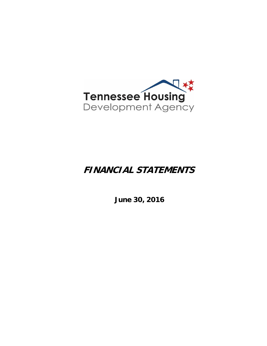

# **FINANCIAL STATEMENTS**

**June 30, 2016**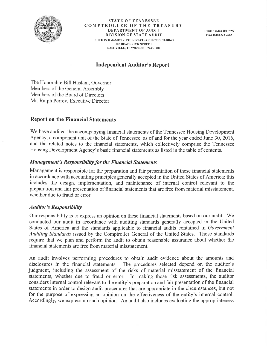

STATE OF TENNESSEE COMPTROLLER OF THE TREASURY DEPARTMENT OF AUDIT DIVISION OF STATE AUDIT SUITE 1500, JAMES K. POLK STATE OFFICE BUILDING 505 DEADERICK STREET NASIIVILLE, TENNESSEE 37243-1402

PHONE (615) 401-7897 FAX (615) 532-2765

# Independent Auditor's Report

The Honorable Bill Haslam, Governor Members of the General Assembly Members of the Board of Directors Mr. Ralph Perrey, Executive Director

# Report on the Financial Statements

We have audited the accompanying financial statements of the Tennessee Housing Development Agency, a component unit of the State of Tennessee, as of and for the year ended June 30, 2016, and the related notes to the financial statements, which collectively comprise the Tennessee Housing Development Agency's basic financial statements as listed in the table of contents.

# Management's Responsibility for the Financial Statements

Management is responsible for the preparation and fair presentation of these financial statements in accordance with accounting principles generally accepted in the United States of America; this includes the design, implementation, and maintenance of internal control relevant to the preparation and fair presentation of financial statements that are free from material misstatement, whether due to fraud or error.

#### **Auditor's Responsibility**

Our responsibility is to express an opinion on these financial statements based on our audit. We conducted our audit in accordance with auditing standards generally accepted in the United States of America and the standards applicable to financial audits contained in Government Auditing Standards issued by the Comptroller General of the United States. Those standards require that we plan and perform the audit to obtain reasonable assurance about whether the financial statements are free from material misstatement.

An audit involves performing procedures to obtain audit evidence about the amounts and disclosures in the financial statements. The procedures selected depend on the auditor's judgment, including the assessment of the risks of material misstatement of the flrnancial statements, whether due to fraud or error. In making those risk assessments, the auditor considers internal control relevant to the entity's preparation and fair presentation of the financial statements in order to design audit procedures that are appropriate in the circumstances, but not for the purpose of expressing an opinion on the effectiveness of the entity's internal control. Accordingly, we express no such opinion. An audit also includes evaluating the appropriateness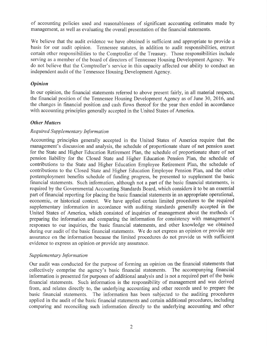of accounting policies used and reasonableness of significant accounting estimates made by management, as well as evaluating the overall presentation of the financial statements.

We believe that the audit evidence we have obtained is sufficient and appropriate to provide a basis fbr our audit opinion. Tennessee statutes, in addition to audit responsibilities, entrust certain other responsibilities to the Comptroller of the Treasury. Those responsibilities include serving as a member of the board of directors of Tennessee Housing Development Agency. We do not believe that the Comptroller's service in this capacity affected our ability to conduct an independent audit of the Tennessee Housing Development Agency.

#### **Opinion**

In our opinion, the financial statements referred to above present fairly, in all material respects, the financial position of the Tennessee Housing Development Agency as of June 30,2016, and the changes in financial position and cash flows thereof for the year then ended in accordance with accounting principles generally accepted in the United States of America.

#### **Other Matters**

#### Required Supplementary Information

Accounting principles generally accepted in the United States of America require that the management's discussion and analysis, the schedule of proportionate share of net pension asset for the State and Higher Education Retirement Plan, the schedule of proportionate share of net pension liability for the Closed State and Higher Education Pension Plan, the schedule of contributions to the State and Higher Education Employee Retirement Plan, the schedule of contributions to the Closed State and Higher Education Employee Pension Plan, and the other postemployment benefits schedule of funding progress, be presented to supplement the basic financial statements. Such information, although not a part of the basic financial statements, is required by the Governmental Accounting Standards Board, which considers it to be an essential part of financial reporting for placing the basic financial statements in an appropriate operational, economic, or historical context. We have applied certain limited procedures to the required supplementary information in accordance with auditing standards generally accepted in the United States of America, which consisted of inquiries of management about the methods of preparing the information and comparing the information for consistency with management's responses to our inquiries, the basic financial statements, and other knowledge we obtained during our audit of the basic financial statements. We do not express an opinion or provide any assurance on the information because the limited procedures do not provide us with sufficient evidence to express an opinion or provide any assurance.

#### Supplementary Information

Our audit was conducted for the purpose of forming an opinion on the financial statements that collectively comprise the agency's basic financial statements. The accompanying financial information is presented for purposes of additional analysis and is not a required part of the basic financial statements. Such information is the responsibility of management and was derived from, and relates directly to, the underlying accounting and other records used to prepare the basic financial statements. The information has been subjected to the auditing procedures applied in the audit of the basic financial statements and certain additional procedures, including comparing and reconciling such information directly to the underlying accounting and other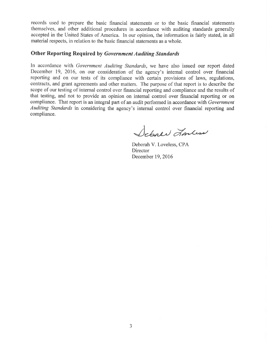records used to prepare the basic financial statements or to the basic financial statements themselves, and other additional procedures in accordance with auditing standards generally accepted in the United States of America. In our opinion, the information is fairly stated, in all material respects, in relation to the basic financial statements as a whole.

#### Other Reporting Required by Government Auditing Standards

In accordance with Government Auditing Standards, we have also issued our report dated December 19, 2016, on our consideration of the agency's internal control over financial reporting and on our tests of its compliance with certain provisions of laws, regulations, contracts, and grant agreements and other matters. The purpose of that report is to describe the scope of our testing of internal control over financial reporting and compliance and the results of that testing, and not to provide an opinion on internal control over financial reporting or on compliance. That report is an integral part of an audit performed in accordance with Government Auditing Standards in considering the agency's internal control over financial reporting and compliance.

Deball Lorless

Deborah V. Loveless, CPA **Director** December 19,2016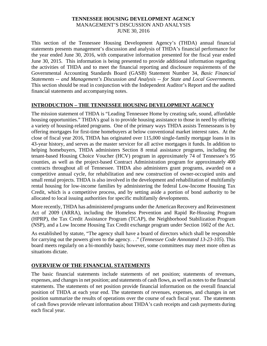This section of the Tennessee Housing Development Agency's (THDA) annual financial statements presents management's discussion and analysis of THDA's financial performance for the year ended June 30, 2016, with comparative information presented for the fiscal year ended June 30, 2015. This information is being presented to provide additional information regarding the activities of THDA and to meet the financial reporting and disclosure requirements of the Governmental Accounting Standards Board (GASB) Statement Number 34, *Basic Financial Statements -- and Management's Discussion and Analysis -- for State and Local Governments.* This section should be read in conjunction with the Independent Auditor's Report and the audited financial statements and accompanying notes.

# **INTRODUCTION – THE TENNESSEE HOUSING DEVELOPMENT AGENCY**

The mission statement of THDA is "Leading Tennessee Home by creating safe, sound, affordable housing opportunities." THDA's goal is to provide housing assistance to those in need by offering a variety of housing-related programs. One of the primary ways THDA assists Tennesseans is by offering mortgages for first-time homebuyers at below conventional market interest rates. At the close of fiscal year 2016, THDA has originated over 115,000 single-family mortgage loans in its 43-year history, and serves as the master servicer for all active mortgages it funds. In addition to helping homebuyers, THDA administers Section 8 rental assistance programs, including the tenant-based Housing Choice Voucher (HCV) program in approximately 74 of Tennessee's 95 counties, as well as the project-based Contract Administration program for approximately 400 contracts throughout all of Tennessee. THDA also administers grant programs, awarded on a competitive annual cycle, for rehabilitation and new construction of owner-occupied units and small rental projects. THDA is also involved in the development and rehabilitation of multifamily rental housing for low-income families by administering the federal Low-Income Housing Tax Credit, which is a competitive process, and by setting aside a portion of bond authority to be allocated to local issuing authorities for specific multifamily developments.

More recently, THDA has administered programs under the American Recovery and Reinvestment Act of 2009 (ARRA), including the Homeless Prevention and Rapid Re-Housing Program (HPRP), the Tax Credit Assistance Program (TCAP), the Neighborhood Stabilization Program (NSP), and a Low Income Housing Tax Credit exchange program under Section 1602 of the Act.

As established by statute, "The agency shall have a board of directors which shall be responsible for carrying out the powers given to the agency. . ." (*Tennessee Code Annotated 13-23-105*). This board meets regularly on a bi-monthly basis; however, some committees may meet more often as situations dictate.

#### **OVERVIEW OF THE FINANCIAL STATEMENTS**

The basic financial statements include statements of net position; statements of revenues, expenses, and changes in net position; and statements of cash flows, as well as notes to the financial statements. The statements of net position provide financial information on the overall financial position of THDA at each year end. The statements of revenues, expenses, and changes in net position summarize the results of operations over the course of each fiscal year. The statements of cash flows provide relevant information about THDA's cash receipts and cash payments during each fiscal year.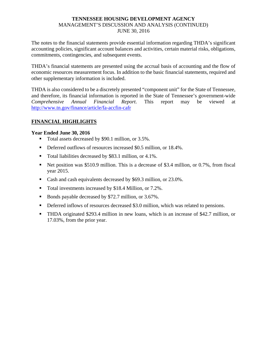The notes to the financial statements provide essential information regarding THDA's significant accounting policies, significant account balances and activities, certain material risks, obligations, commitments, contingencies, and subsequent events.

THDA's financial statements are presented using the accrual basis of accounting and the flow of economic resources measurement focus. In addition to the basic financial statements, required and other supplementary information is included.

THDA is also considered to be a discretely presented "component unit" for the State of Tennessee, and therefore, its financial information is reported in the State of Tennessee's government-wide *Comprehensive Annual Financial Report*. This report may be viewed at http://www.tn.gov/finance/article/fa-accfin-cafr

# **FINANCIAL HIGHLIGHTS**

#### **Year Ended June 30, 2016**

- Total assets decreased by \$90.1 million, or 3.5%.
- Deferred outflows of resources increased \$0.5 million, or 18.4%.
- Total liabilities decreased by \$83.1 million, or 4.1%.
- Net position was \$510.9 million. This is a decrease of \$3.4 million, or 0.7%, from fiscal year 2015.
- Cash and cash equivalents decreased by \$69.3 million, or 23.0%.
- Total investments increased by \$18.4 Million, or 7.2%.
- Bonds payable decreased by \$72.7 million, or 3.67%.
- Deferred inflows of resources decreased \$3.0 million, which was related to pensions.
- THDA originated \$293.4 million in new loans, which is an increase of \$42.7 million, or 17.03%, from the prior year.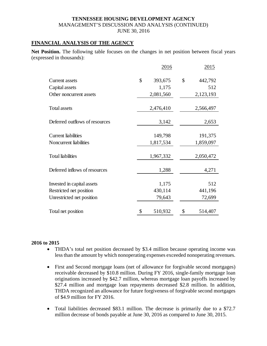#### **FINANCIAL ANALYSIS OF THE AGENCY**

Net Position. The following table focuses on the changes in net position between fiscal years (expressed in thousands):

|                                | 2016          | 2015          |
|--------------------------------|---------------|---------------|
|                                |               |               |
| Current assets                 | \$<br>393,675 | \$<br>442,792 |
| Capital assets                 | 1,175         | 512           |
| Other noncurrent assets        | 2,081,560     | 2,123,193     |
|                                |               |               |
| <b>Total assets</b>            | 2,476,410     | 2,566,497     |
|                                |               |               |
| Deferred outflows of resources | 3,142         | 2,653         |
|                                |               |               |
| <b>Current liabilities</b>     | 149,798       | 191,375       |
| Noncurrent liabilities         | 1,817,534     | 1,859,097     |
|                                |               |               |
| <b>Total liabilities</b>       | 1,967,332     | 2,050,472     |
|                                |               |               |
| Deferred inflows of resources  | 1,288         | 4,271         |
|                                |               |               |
| Invested in capital assets     | 1,175         | 512           |
| Restricted net position        | 430,114       | 441,196       |
| Unrestricted net position      | 79,643        | 72,699        |
|                                |               |               |
| Total net position             | \$<br>510,932 | \$<br>514,407 |

#### **2016 to 2015**

- THDA's total net position decreased by \$3.4 million because operating income was less than the amount by which nonoperating expenses exceeded nonoperating revenues.
- First and Second mortgage loans (net of allowance for forgivable second mortgages) receivable decreased by \$10.8 million. During FY 2016, single-family mortgage loan originations increased by \$42.7 million, whereas mortgage loan payoffs increased by \$27.4 million and mortgage loan repayments decreased \$2.8 million. In addition, THDA recognized an allowance for future forgiveness of forgivable second mortgages of \$4.9 million for FY 2016.
- Total liabilities decreased \$83.1 million. The decrease is primarily due to a \$72.7 million decrease of bonds payable at June 30, 2016 as compared to June 30, 2015.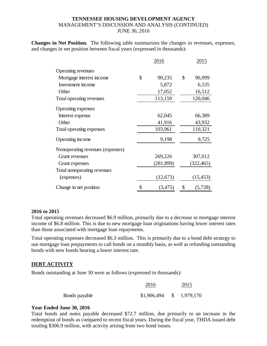**Changes in Net Position.** The following table summarizes the changes in revenues, expenses, and changes in net position between fiscal years (expressed in thousands):

|                                  | 2016           | 2015          |
|----------------------------------|----------------|---------------|
| Operating revenues               |                |               |
| Mortgage interest income         | \$<br>90,235   | \$<br>96,999  |
| Investment income                | 5,872          | 6,535         |
| Other                            | 17,052         | 16,512        |
| Total operating revenues         | 113,159        | 120,046       |
| Operating expenses               |                |               |
| Interest expense                 | 62,045         | 66,389        |
| Other                            | 41,916         | 43,932        |
| Total operating expenses         | 103,961        | 110,321       |
| Operating income                 | 9,198          | 9,725         |
| Nonoperating revenues (expenses) |                |               |
| Grant revenues                   | 269,226        | 307,012       |
| Grant expenses                   | (281, 899)     | (322, 465)    |
| Total nonoperating revenues      |                |               |
| (expenses)                       | (12, 673)      | (15, 453)     |
| Change in net position           | \$<br>(3, 475) | \$<br>(5,728) |

#### **2016 to 2015**

Total operating revenues decreased \$6.9 million, primarily due to a decrease in mortgage interest income of \$6.8 million. This is due to new mortgage loan originations having lower interest rates than those associated with mortgage loan repayments.

Total operating expenses decreased \$6.3 million. This is primarily due to a bond debt strategy to use mortgage loan prepayments to call bonds on a monthly basis, as well as refunding outstanding bonds with new bonds bearing a lower interest rate.

#### **DEBT ACTIVITY**

Bonds outstanding at June 30 were as follows (expressed in thousands):

|               | 2016                      | 2015 |
|---------------|---------------------------|------|
| Bonds payable | $$1,906,494$ $$1,979,170$ |      |

#### **Year Ended June 30, 2016**

Total bonds and notes payable decreased \$72.7 million, due primarily to an increase in the redemption of bonds as compared to recent fiscal years. During the fiscal year, THDA issued debt totaling \$306.9 million, with activity arising from two bond issues.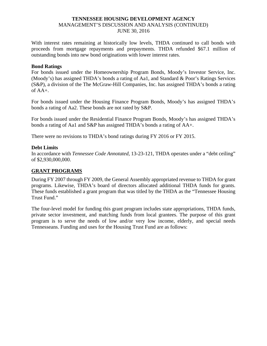With interest rates remaining at historically low levels, THDA continued to call bonds with proceeds from mortgage repayments and prepayments. THDA refunded \$67.1 million of outstanding bonds into new bond originations with lower interest rates.

#### **Bond Ratings**

For bonds issued under the Homeownership Program Bonds, Moody's Investor Service, Inc. (Moody's) has assigned THDA's bonds a rating of Aa1, and Standard & Poor's Ratings Services (S&P), a division of the The McGraw-Hill Companies, Inc. has assigned THDA's bonds a rating of AA+.

For bonds issued under the Housing Finance Program Bonds, Moody's has assigned THDA's bonds a rating of Aa2. These bonds are not rated by S&P.

For bonds issued under the Residential Finance Program Bonds, Moody's has assigned THDA's bonds a rating of Aa1 and S&P has assigned THDA's bonds a rating of AA+.

There were no revisions to THDA's bond ratings during FY 2016 or FY 2015.

#### **Debt Limits**

In accordance with *Tennessee Code Annotated,* 13-23-121, THDA operates under a "debt ceiling" of \$2,930,000,000.

#### **GRANT PROGRAMS**

During FY 2007 through FY 2009, the General Assembly appropriated revenue to THDA for grant programs. Likewise, THDA's board of directors allocated additional THDA funds for grants. These funds established a grant program that was titled by the THDA as the "Tennessee Housing Trust Fund."

The four-level model for funding this grant program includes state appropriations, THDA funds, private sector investment, and matching funds from local grantees. The purpose of this grant program is to serve the needs of low and/or very low income, elderly, and special needs Tennesseans. Funding and uses for the Housing Trust Fund are as follows: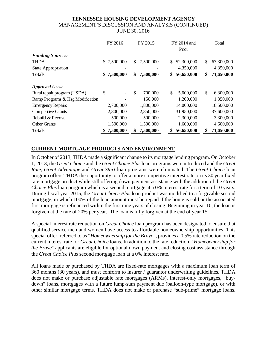|                                  | FY 2016                        | FY 2015         | FY 2014 and      | Total            |
|----------------------------------|--------------------------------|-----------------|------------------|------------------|
|                                  |                                |                 | Prior            |                  |
| <b>Funding Sources:</b>          |                                |                 |                  |                  |
| <b>THDA</b>                      | \$7,500,000                    | 7,500,000<br>\$ | 52,300,000<br>S. | \$<br>67,300,000 |
| <b>State Appropriation</b>       |                                |                 | 4,350,000        | 4,350,000        |
| <b>Totals</b>                    | \$7,500,000                    | \$<br>7,500,000 | 56,650,000<br>\$ | \$<br>71,650,000 |
| <b>Approved Uses:</b>            |                                |                 |                  |                  |
| Rural repair program (USDA)      | \$<br>$\overline{\phantom{a}}$ | \$<br>700,000   | \$<br>5,600,000  | \$<br>6,300,000  |
| Ramp Programs & Hsg Modification |                                | 150,000         | 1,200,000        | 1,350,000        |
| <b>Emergency Repairs</b>         | 2,700,000                      | 1,800,000       | 14,000,000       | 18,500,000       |
| <b>Competitive Grants</b>        | 2,800,000                      | 2,850,000       | 31,950,000       | 37,600,000       |
| Rebuild & Recover                | 500,000                        | 500,000         | 2,300,000        | 3,300,000        |
| <b>Other Grants</b>              | 1,500,000                      | 1,500,000       | 1,600,000        | 4,600,000        |
| <b>Totals</b>                    | 7,500,000<br>S.                | 7,500,000       | 56,650,000<br>\$ | 71,650,000<br>\$ |

# **CURRENT MORTGAGE PRODUCTS AND ENVIRONMENT**

In October of 2013, THDA made a significant change to its mortgage lending program. On October 1, 2013, the *Great Choice* and the *Great Choice Plus* loan programs were introduced and the *Great Rate*, *Great Advantage* and *Great Start* loan programs were eliminated. The *Great Choice* loan program offers THDA the opportunity to offer a more competitive interest rate on its 30 year fixed rate mortgage product while still offering down payment assistance with the addition of the *Great Choice Plus* loan program which is a second mortgage at a 0% interest rate for a term of 10 years. During fiscal year 2015, the *Great Choice Plus* loan product was modified to a forgivable second mortgage, in which 100% of the loan amount must be repaid if the home is sold or the associated first mortgage is refinanced within the first nine years of closing. Beginning in year 10, the loan is forgiven at the rate of 20% per year. The loan is fully forgiven at the end of year 15.

A special interest rate reduction on *Great Choice* loan program has been designated to ensure that qualified service men and women have access to affordable homeownership opportunities. This special offer, referred to as "*Homeownership for the Brave*", provides a 0.5% rate reduction on the current interest rate for *Great Choice* loans. In addition to the rate reduction, "*Homeownership for the Brave*" applicants are eligible for optional down payment and closing cost assistance through the *Great Choice Plus* second mortgage loan at a 0% interest rate.

All loans made or purchased by THDA are fixed-rate mortgages with a maximum loan term of 360 months (30 years), and must conform to insurer / guarantor underwriting guidelines. THDA does not make or purchase adjustable rate mortgages (ARMs), interest-only mortgages, "buydown" loans, mortgages with a future lump-sum payment due (balloon-type mortgage), or with other similar mortgage terms. THDA does not make or purchase "sub-prime" mortgage loans.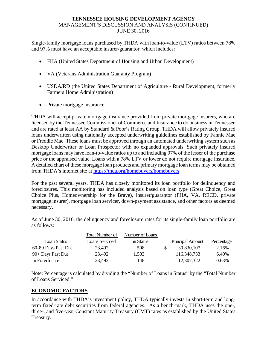Single-family mortgage loans purchased by THDA with loan-to-value (LTV) ratios between 78% and 97% must have an acceptable insurer/guarantor, which includes:

- FHA (United States Department of Housing and Urban Development)
- VA (Veterans Administration Guaranty Program)
- USDA/RD (the United States Department of Agriculture Rural Development, formerly Farmers Home Administration)
- Private mortgage insurance

THDA will accept private mortgage insurance provided from private mortgage insurers, who are licensed by the Tennessee Commissioner of Commerce and Insurance to do business in Tennessee and are rated at least AA by Standard & Poor's Rating Group. THDA will allow privately insured loans underwritten using nationally accepted underwriting guidelines established by Fannie Mae or Freddie Mac. These loans must be approved through an automated underwriting system such as Desktop Underwriter or Loan Prospector with no expanded approvals. Such privately insured mortgage loans may have loan-to-value ratios up to and including 97% of the lesser of the purchase price or the appraised value. Loans with a 78% LTV or lower do not require mortgage insurance. A detailed chart of these mortgage loan products and primary mortgage loan terms may be obtained from THDA's internet site at https://thda.org/homebuyers/homebuyers

For the past several years, THDA has closely monitored its loan portfolio for delinquency and foreclosures. This monitoring has included analysis based on loan type (Great Choice, Great Choice Plus, Homeownership for the Brave), insurer/guarantor (FHA, VA, RECD, private mortgage insurer), mortgage loan servicer, down-payment assistance, and other factors as deemed necessary.

As of June 30, 2016, the delinquency and foreclosure rates for its single-family loan portfolio are as follows:

|                     | <b>Total Number of</b> | Number of Loans |     |                  |            |
|---------------------|------------------------|-----------------|-----|------------------|------------|
| Loan Status         | Loans Serviced         | in Status       |     | Principal Amount | Percentage |
| 60-89 Days Past Due | 23,492                 | 508             | \$. | 39,830,107       | 2.16%      |
| 90+ Days Past Due   | 23,492                 | 1,503           |     | 116,348,733      | 6.40%      |
| In Foreclosure      | 23,492                 | 148             |     | 12,307,322       | 0.63%      |

Note: Percentage is calculated by dividing the "Number of Loans in Status" by the "Total Number of Loans Serviced."

# **ECONOMIC FACTORS**

In accordance with THDA's investment policy, THDA typically invests in short-term and longterm fixed-rate debt securities from federal agencies. As a bench-mark, THDA uses the one-, three-, and five-year Constant Maturity Treasury (CMT) rates as established by the United States Treasury.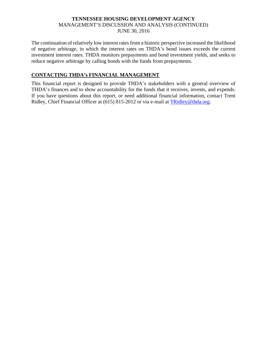The continuation of relatively low interest rates from a historic perspective increased the likelihood of negative arbitrage, in which the interest rates on THDA's bond issues exceeds the current investment interest rates. THDA monitors prepayments and bond investment yields, and seeks to reduce negative arbitrage by calling bonds with the funds from prepayments.

#### **CONTACTING THDA's FINANCIAL MANAGEMENT**

This financial report is designed to provide THDA's stakeholders with a general overview of THDA's finances and to show accountability for the funds that it receives, invests, and expends. If you have questions about this report, or need additional financial information, contact Trent Ridley, Chief Financial Officer at (615) 815-2012 or via e-mail at TRidley@thda.org.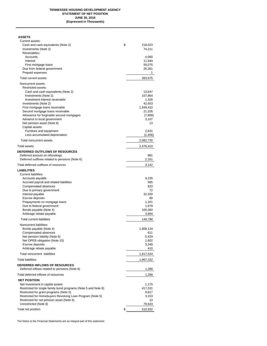#### **TENNESSEE HOUSING DEVELOPMENT AGENCY STATEMENT OF NET POSITION JUNE 30, 2016 (Expressed in Thousands)**

| <b>ASSETS</b>                                                                                      |                   |
|----------------------------------------------------------------------------------------------------|-------------------|
| Current assets:<br>Cash and cash equivalents (Note 2)                                              | \$<br>218,023     |
| Investments (Note 2)<br>Receivables:                                                               | 74,211            |
| Accounts                                                                                           | 4,060             |
| Interest<br>First mortgage loans                                                                   | 11,944<br>59,075  |
| Due from federal government                                                                        | 26,361            |
| Prepaid expenses                                                                                   | 1                 |
| Total current assets                                                                               | 393,675           |
| Noncurrent assets:<br>Restricted assets:                                                           |                   |
| Cash and cash equivalents (Note 2)                                                                 | 13,647            |
| Investments (Note 2)<br>Investment interest receivable                                             | 157,864<br>1,326  |
| Investments (Note 2)                                                                               | 42,653            |
| First mortgage loans receivable                                                                    | 1,849,432         |
| Second mortgage loans receivable<br>Allowance for forgivable second mortgages                      | 21,326<br>(7,808) |
| Advance to local government                                                                        | 3,107             |
| Net pension asset (Note 6)                                                                         | 13                |
| Capital assets:<br>Furniture and equipment                                                         | 2,631             |
| Less accumulated depreciation                                                                      | (1, 456)          |
| Total noncurrent assets                                                                            | 2,082,735         |
| Total assets                                                                                       | 2,476,410         |
| <b>DEFERRED OUTFLOWS OF RESOURCES</b>                                                              |                   |
| Deferred amount on refundings<br>Deferred outflows related to pensions (Note 6)                    | 981<br>2,161      |
| Total deferred outflows of resources                                                               | 3,142             |
| LIABILITIES                                                                                        |                   |
| <b>Current liabilities:</b>                                                                        |                   |
| Accounts payable                                                                                   | 9,235             |
| Accrued payroll and related liabilities<br>Compensated absences                                    | 585<br>633        |
| Due to primary government                                                                          | 72                |
| Interest payable<br>Escrow deposits                                                                | 32,300<br>89      |
| Prepayments on mortgage loans                                                                      | 1,161             |
| Due to federal government                                                                          | 1,679             |
| Bonds payable (Note 4)<br>Arbitrage rebate payable                                                 | 100,360<br>3,684  |
| Total current liabilities                                                                          | 149,798           |
| Noncurrent liabilities:                                                                            |                   |
| Bonds payable (Note 4)                                                                             | 1,806,134         |
| Compensated absences<br>Net pension liability (Note 6)                                             | 611<br>5,429      |
| Net OPEB obligation (Note 10)                                                                      | 1,602             |
| Escrow deposits                                                                                    | 3,348             |
| Arbitrage rebate payable                                                                           | 410               |
| <b>Total noncurrent liabilities</b><br><b>Total liabilities</b>                                    | 1,817,534         |
| <b>DEFERRED INFLOWS OF RESOURCES</b>                                                               | 1,967,332         |
| Deferred inflows related to pensions (Note 6)                                                      | 1,288             |
| Total deferred inflows of resources                                                                | 1,288             |
| <b>NET POSITION</b>                                                                                |                   |
| Net investment in capital assets<br>Restricted for single family bond programs (Note 5 and Note 8) | 1,175<br>417,331  |
| Restricted for grant programs (Note 5)                                                             | 9,617             |
| Restricted for Homebuyers Revolving Loan Program (Note 5)                                          | 3,153             |
| Restricted for net pension asset (Note 6)<br>Unrestricted (Note 8)                                 | 13<br>79,643      |
| Total net position                                                                                 | \$<br>510,932     |

The Notes to the Financial Statements are an integral part of this statement.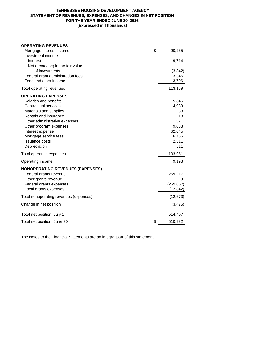#### **TENNESSEE HOUSING DEVELOPMENT AGENCY STATEMENT OF REVENUES, EXPENSES, AND CHANGES IN NET POSITION FOR THE YEAR ENDED JUNE 30, 2016 (Expressed in Thousands)**

| <b>OPERATING REVENUES</b>                          |               |
|----------------------------------------------------|---------------|
| Mortgage interest income                           | \$<br>90,235  |
| Investment income:<br>Interest                     | 9,714         |
| Net (decrease) in the fair value<br>of investments | (3,842)       |
| Federal grant administration fees                  | 13,346        |
| Fees and other income                              | 3,706         |
| Total operating revenues                           | 113,159       |
| <b>OPERATING EXPENSES</b>                          |               |
| Salaries and benefits                              | 15,845        |
| Contractual services                               | 4,989         |
| Materials and supplies<br>Rentals and insurance    | 1,233<br>18   |
| Other administrative expenses                      | 571           |
| Other program expenses                             | 9,683         |
| Interest expense                                   | 62,045        |
| Mortgage service fees                              | 6,755         |
| <b>Issuance costs</b>                              | 2,311         |
| Depreciation                                       | 511           |
| Total operating expenses                           | 103,961       |
| Operating income                                   | 9,198         |
| <b>NONOPERATING REVENUES (EXPENSES)</b>            |               |
| Federal grants revenue                             | 269,217       |
| Other grants revenue                               | 9             |
| Federal grants expenses                            | (269, 057)    |
| Local grants expenses                              | (12, 842)     |
| Total nonoperating revenues (expenses)             | (12, 673)     |
| Change in net position                             | (3, 475)      |
| Total net position, July 1                         | 514,407       |
| Total net position, June 30                        | \$<br>510,932 |
|                                                    |               |

The Notes to the Financial Statements are an integral part of this statement.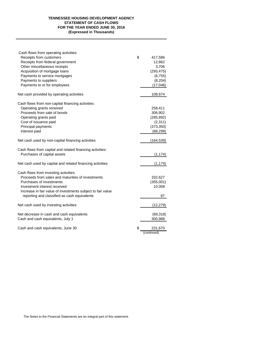#### **TENNESSEE HOUSING DEVELOPMENT AGENCY STATEMENT OF CASH FLOWS FOR THE YEAR ENDED JUNE 30, 2016 (Expressed in Thousands)**

| Cash flows from operating activities:                       |               |
|-------------------------------------------------------------|---------------|
| Receipts from customers                                     | \$<br>417,586 |
| Receipts from federal government                            | 12,862        |
| Other miscellaneous receipts                                | 3,706         |
| Acquisition of mortgage loans                               | (293, 475)    |
| Payments to service mortgages                               | (6, 755)      |
| Payments to suppliers                                       | (8, 204)      |
| Payments to or for employees                                | (17,046)      |
| Net cash provided by operating activities                   | 108,674       |
| Cash flows from non-capital financing activities:           |               |
| Operating grants received                                   | 258,411       |
| Proceeds from sale of bonds                                 | 306,902       |
| Operating grants paid                                       | (285, 892)    |
| Cost of issuance paid                                       | (2,311)       |
| Principal payments                                          | (373, 350)    |
| Interest paid                                               | (68, 299)     |
| Net cash used by non-capital financing activities           | (164, 539)    |
| Cash flows from capital and related financing activities:   |               |
| Purchases of capital assets                                 | (1, 174)      |
| Net cash used by capital and related financing activities   | (1, 174)      |
| Cash flows from investing activities:                       |               |
| Proceeds from sales and maturities of investments           | 332,627       |
| Purchases of investments                                    | (355,001)     |
| Investment interest received                                | 10,008        |
| Increase in fair value of investments subject to fair value |               |
| reporting and classified as cash equivalents                | 87            |
| Net cash used by investing activities                       | (12, 279)     |
| Net decrease in cash and cash equivalents                   | (69, 318)     |
| Cash and cash equivalents, July 1                           | 300,988       |
| Cash and cash equivalents, June 30                          | 231,670       |
|                                                             | (continued)   |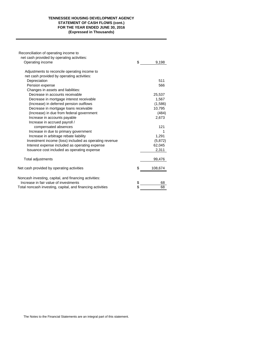#### **(Expressed in Thousands) TENNESSEE HOUSING DEVELOPMENT AGENCY STATEMENT OF CASH FLOWS (cont.) FOR THE YEAR ENDED JUNE 30, 2016**

| Reconciliation of operating income to                      |               |
|------------------------------------------------------------|---------------|
| net cash provided by operating activities:                 |               |
| Operating income                                           | \$<br>9,198   |
| Adjustments to reconcile operating income to               |               |
| net cash provided by operating activities:                 |               |
| Depreciation                                               | 511           |
| Pension expense                                            | 566           |
| Changes in assets and liabilities:                         |               |
| Decrease in accounts receivable                            | 25,537        |
| Decrease in mortgage interest receivable                   | 1,567         |
| (Increase) in deferred pension outflows                    | (1,586)       |
| Decrease in mortgage loans receivable                      | 10,795        |
| (Increase) in due from federal government                  | (484)         |
| Increase in accounts payable                               | 2,673         |
| Increase in accrued payroll /                              |               |
| compensated absences                                       | 121           |
| Increase in due to primary government                      |               |
| Increase in arbitrage rebate liability                     | 1,291         |
| Investment income (loss) included as operating revenue     | (5, 872)      |
| Interest expense included as operating expense             | 62,045        |
| Issuance cost included as operating expense                | 2,311         |
| Total adjustments                                          | 99,476        |
| Net cash provided by operating activities                  | \$<br>108,674 |
| Noncash investing, capital, and financing activities:      |               |
| Increase in fair value of investments                      | \$<br>68      |
| Total noncash investing, capital, and financing activities | \$<br>68      |
|                                                            |               |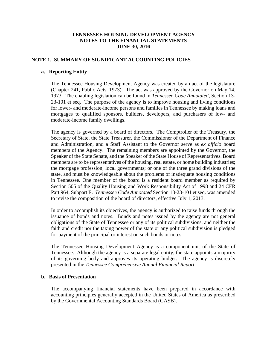#### **NOTE 1. SUMMARY OF SIGNIFICANT ACCOUNTING POLICIES**

#### **a. Reporting Entity**

The Tennessee Housing Development Agency was created by an act of the legislature (Chapter 241, Public Acts, 1973). The act was approved by the Governor on May 14, 1973. The enabling legislation can be found in *Tennessee Code Annotated*, Section 13- 23-101 et seq. The purpose of the agency is to improve housing and living conditions for lower- and moderate-income persons and families in Tennessee by making loans and mortgages to qualified sponsors, builders, developers, and purchasers of low- and moderate-income family dwellings.

The agency is governed by a board of directors. The Comptroller of the Treasury, the Secretary of State, the State Treasurer, the Commissioner of the Department of Finance and Administration, and a Staff Assistant to the Governor serve as *ex officio* board members of the Agency. The remaining members are appointed by the Governor, the Speaker of the State Senate, and the Speaker of the State House of Representatives. Board members are to be representatives of the housing, real estate, or home building industries; the mortgage profession; local governments; or one of the three grand divisions of the state, and must be knowledgeable about the problems of inadequate housing conditions in Tennessee. One member of the board is a resident board member as required by Section 505 of the Quality Housing and Work Responsibility Act of 1998 and 24 CFR Part 964, Subpart E. *Tennessee Code Annotated* Section 13-23-101 et seq. was amended to revise the composition of the board of directors, effective July 1, 2013.

In order to accomplish its objectives, the agency is authorized to raise funds through the issuance of bonds and notes. Bonds and notes issued by the agency are not general obligations of the State of Tennessee or any of its political subdivisions, and neither the faith and credit nor the taxing power of the state or any political subdivision is pledged for payment of the principal or interest on such bonds or notes.

The Tennessee Housing Development Agency is a component unit of the State of Tennessee. Although the agency is a separate legal entity, the state appoints a majority of its governing body and approves its operating budget. The agency is discretely presented in the *Tennessee Comprehensive Annual Financial Report*.

#### **b. Basis of Presentation**

The accompanying financial statements have been prepared in accordance with accounting principles generally accepted in the United States of America as prescribed by the Governmental Accounting Standards Board (GASB).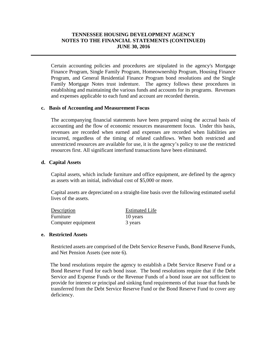Certain accounting policies and procedures are stipulated in the agency's Mortgage Finance Program, Single Family Program, Homeownership Program, Housing Finance Program, and General Residential Finance Program bond resolutions and the Single Family Mortgage Notes trust indenture. The agency follows these procedures in establishing and maintaining the various funds and accounts for its programs. Revenues and expenses applicable to each fund and account are recorded therein.

#### **c. Basis of Accounting and Measurement Focus**

 The accompanying financial statements have been prepared using the accrual basis of accounting and the flow of economic resources measurement focus. Under this basis, revenues are recorded when earned and expenses are recorded when liabilities are incurred, regardless of the timing of related cashflows. When both restricted and unrestricted resources are available for use, it is the agency's policy to use the restricted resources first. All significant interfund transactions have been eliminated.

#### **d. Capital Assets**

Capital assets, which include furniture and office equipment, are defined by the agency as assets with an initial, individual cost of \$5,000 or more.

Capital assets are depreciated on a straight-line basis over the following estimated useful lives of the assets.

| Description        | <b>Estimated Life</b> |
|--------------------|-----------------------|
| Furniture          | 10 years              |
| Computer equipment | 3 years               |

#### **e. Restricted Assets**

 Restricted assets are comprised of the Debt Service Reserve Funds, Bond Reserve Funds, and Net Pension Assets (see note 6).

The bond resolutions require the agency to establish a Debt Service Reserve Fund or a Bond Reserve Fund for each bond issue. The bond resolutions require that if the Debt Service and Expense Funds or the Revenue Funds of a bond issue are not sufficient to provide for interest or principal and sinking fund requirements of that issue that funds be transferred from the Debt Service Reserve Fund or the Bond Reserve Fund to cover any deficiency.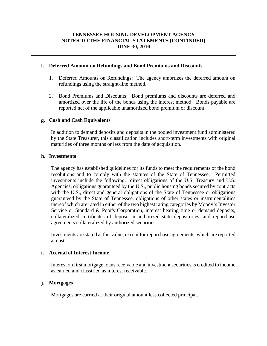#### **f. Deferred Amount on Refundings and Bond Premiums and Discounts**

- 1. Deferred Amounts on Refundings: The agency amortizes the deferred amount on refundings using the straight-line method.
- 2. Bond Premiums and Discounts: Bond premiums and discounts are deferred and amortized over the life of the bonds using the interest method. Bonds payable are reported net of the applicable unamortized bond premium or discount.

#### **g. Cash and Cash Equivalents**

 In addition to demand deposits and deposits in the pooled investment fund administered by the State Treasurer, this classification includes short-term investments with original maturities of three months or less from the date of acquisition.

#### **h. Investments**

The agency has established guidelines for its funds to meet the requirements of the bond resolutions and to comply with the statutes of the State of Tennessee. Permitted investments include the following: direct obligations of the U.S. Treasury and U.S. Agencies, obligations guaranteed by the U.S., public housing bonds secured by contracts with the U.S., direct and general obligations of the State of Tennessee or obligations guaranteed by the State of Tennessee, obligations of other states or instrumentalities thereof which are rated in either of the two highest rating categories by Moody's Investor Service or Standard & Poor's Corporation, interest bearing time or demand deposits, collateralized certificates of deposit in authorized state depositories, and repurchase agreements collateralized by authorized securities.

 Investments are stated at fair value, except for repurchase agreements, which are reported at cost.

#### **i. Accrual of Interest Income**

 Interest on first mortgage loans receivable and investment securities is credited to income as earned and classified as interest receivable.

#### **j. Mortgages**

Mortgages are carried at their original amount less collected principal.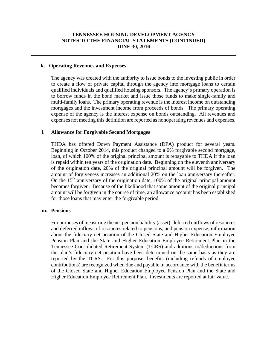#### **k. Operating Revenues and Expenses**

 The agency was created with the authority to issue bonds to the investing public in order to create a flow of private capital through the agency into mortgage loans to certain qualified individuals and qualified housing sponsors. The agency's primary operation is to borrow funds in the bond market and issue those funds to make single-family and multi-family loans. The primary operating revenue is the interest income on outstanding mortgages and the investment income from proceeds of bonds. The primary operating expense of the agency is the interest expense on bonds outstanding. All revenues and expenses not meeting this definition are reported as nonoperating revenues and expenses.

#### l. **Allowance for Forgivable Second Mortgages**

 THDA has offered Down Payment Assistance (DPA) product for several years. Beginning in October 2014, this product changed to a 0% forgivable second mortgage, loan, of which 100% of the original principal amount is repayable to THDA if the loan is repaid within ten years of the origination date. Beginning on the eleventh anniversary of the origination date, 20% of the original principal amount will be forgiven. The amount of forgiveness increases an additional 20% on the loan anniversary thereafter. On the  $15<sup>th</sup>$  anniversary of the origination date, 100% of the original principal amount becomes forgiven. Because of the likelihood that some amount of the original principal amount will be forgiven in the course of time, an allowance account has been established for those loans that may enter the forgivable period.

#### **m. Pensions**

For purposes of measuring the net pension liability (asset), deferred outflows of resources and deferred inflows of resources related to pensions, and pension expense, information about the fiduciary net position of the Closed State and Higher Education Employee Pension Plan and the State and Higher Education Employee Retirement Plan in the Tennessee Consolidated Retirement System (TCRS) and additions to/deductions from the plan's fiduciary net position have been determined on the same basis as they are reported by the TCRS. For this purpose, benefits (including refunds of employee contributions) are recognized when due and payable in accordance with the benefit terms of the Closed State and Higher Education Employee Pension Plan and the State and Higher Education Employee Retirement Plan. Investments are reported at fair value.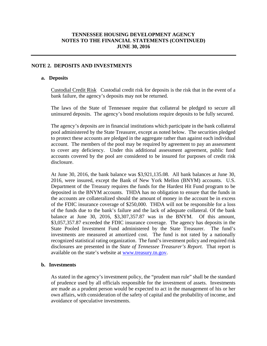#### **NOTE 2. DEPOSITS AND INVESTMENTS**

#### **a. Deposits**

Custodial Credit Risk Custodial credit risk for deposits is the risk that in the event of a bank failure, the agency's deposits may not be returned.

The laws of the State of Tennessee require that collateral be pledged to secure all uninsured deposits. The agency's bond resolutions require deposits to be fully secured.

The agency's deposits are in financial institutions which participate in the bank collateral pool administered by the State Treasurer, except as noted below. The securities pledged to protect these accounts are pledged in the aggregate rather than against each individual account. The members of the pool may be required by agreement to pay an assessment to cover any deficiency. Under this additional assessment agreement, public fund accounts covered by the pool are considered to be insured for purposes of credit risk disclosure.

At June 30, 2016, the bank balance was \$3,921,135.08. All bank balances at June 30, 2016, were insured, except the Bank of New York Mellon (BNYM) accounts. U.S. Department of the Treasury requires the funds for the Hardest Hit Fund program to be deposited in the BNYM accounts. THDA has no obligation to ensure that the funds in the accounts are collateralized should the amount of money in the account be in excess of the FDIC insurance coverage of \$250,000. THDA will not be responsible for a loss of the funds due to the bank's failure and the lack of adequate collateral. Of the bank balance at June 30, 2016, \$3,307,357.87 was in the BNYM. Of this amount, \$3,057,357.87 exceeded the FDIC insurance coverage. The agency has deposits in the State Pooled Investment Fund administered by the State Treasurer. The fund's investments are measured at amortized cost. The fund is not rated by a nationally recognized statistical rating organization. The fund's investment policy and required risk disclosures are presented in the *State of Tennessee Treasurer's Report.* That report is available on the state's website at www.treasury.tn.gov.

#### **b. Investments**

As stated in the agency's investment policy, the "prudent man rule" shall be the standard of prudence used by all officials responsible for the investment of assets. Investments are made as a prudent person would be expected to act in the management of his or her own affairs, with consideration of the safety of capital and the probability of income, and avoidance of speculative investments.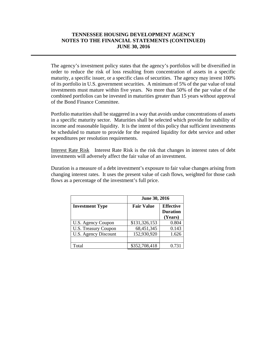The agency's investment policy states that the agency's portfolios will be diversified in order to reduce the risk of loss resulting from concentration of assets in a specific maturity, a specific issuer, or a specific class of securities. The agency may invest 100% of its portfolio in U.S. government securities. A minimum of 5% of the par value of total investments must mature within five years. No more than 50% of the par value of the combined portfolios can be invested in maturities greater than 15 years without approval of the Bond Finance Committee.

Portfolio maturities shall be staggered in a way that avoids undue concentrations of assets in a specific maturity sector. Maturities shall be selected which provide for stability of income and reasonable liquidity. It is the intent of this policy that sufficient investments be scheduled to mature to provide for the required liquidity for debt service and other expenditures per resolution requirements.

Interest Rate Risk Interest Rate Risk is the risk that changes in interest rates of debt investments will adversely affect the fair value of an investment.

 Duration is a measure of a debt investment's exposure to fair value changes arising from changing interest rates. It uses the present value of cash flows, weighted for those cash flows as a percentage of the investment's full price.

|                             | June 30, 2016                         |                 |  |  |  |
|-----------------------------|---------------------------------------|-----------------|--|--|--|
| <b>Investment Type</b>      | <b>Effective</b><br><b>Fair Value</b> |                 |  |  |  |
|                             |                                       | <b>Duration</b> |  |  |  |
|                             |                                       | (Years)         |  |  |  |
| U.S. Agency Coupon          | \$131,326,153                         | 0.804           |  |  |  |
| <b>U.S. Treasury Coupon</b> | 68,451,345                            | 0.143           |  |  |  |
| U.S. Agency Discount        | 152,930,920                           | 1.626           |  |  |  |
|                             |                                       |                 |  |  |  |
| Total                       | \$352,708,418                         | 0.731           |  |  |  |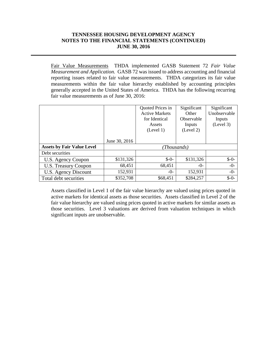Fair Value Measurements THDA implemented GASB Statement 72 *Fair Value Measurement and Application.* GASB 72 was issued to address accounting and financial reporting issues related to fair value measurements. THDA categorizes its fair value measurements within the fair value hierarchy established by accounting principles generally accepted in the United States of America. THDA has the following recurring fair value measurements as of June 30, 2016:

|                                   |               | Quoted Prices in<br><b>Active Markets</b><br>for Identical<br>Assets<br>(Level 1) | Significant<br>Other<br><b>Observable</b><br>Inputs<br>(Level 2) | Significant<br>Unobservable<br>Inputs<br>(Level 3) |
|-----------------------------------|---------------|-----------------------------------------------------------------------------------|------------------------------------------------------------------|----------------------------------------------------|
|                                   | June 30, 2016 |                                                                                   |                                                                  |                                                    |
| <b>Assets by Fair Value Level</b> |               | (Thousands)                                                                       |                                                                  |                                                    |
| Debt securities                   |               |                                                                                   |                                                                  |                                                    |
| U.S. Agency Coupon                | \$131,326     | $S - 0 -$                                                                         | \$131,326                                                        | $$ -0-$                                            |
| U.S. Treasury Coupon              | 68,451        | 68,451                                                                            | -0-                                                              | $-0-$                                              |
| U.S. Agency Discount              | 152,931       | $-()$ -                                                                           | 152,931                                                          | $-()$ -                                            |
| Total debt securities             | \$352,708     | \$68,451                                                                          | \$284,257                                                        | $$ -0-$                                            |

Assets classified in Level 1 of the fair value hierarchy are valued using prices quoted in active markets for identical assets as those securities. Assets classified in Level 2 of the fair value hierarchy are valued using prices quoted in active markets for similar assets as those securities. Level 3 valuations are derived from valuation techniques in which significant inputs are unobservable.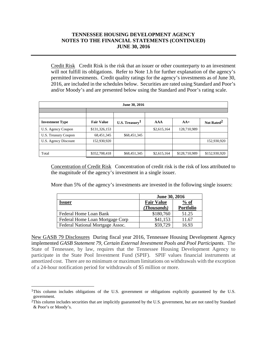Credit Risk Credit Risk is the risk that an issuer or other counterparty to an investment will not fulfill its obligations. Refer to Note 1.h for further explanation of the agency's permitted investments. Credit quality ratings for the agency's investments as of June 30, 2016, are included in the schedules below. Securities are rated using Standard and Poor's and/or Moody's and are presented below using the Standard and Poor's rating scale.

| June 30, 2016          |                   |                            |             |               |                |  |
|------------------------|-------------------|----------------------------|-------------|---------------|----------------|--|
|                        |                   |                            |             |               |                |  |
|                        |                   |                            |             |               |                |  |
| <b>Investment Type</b> | <b>Fair Value</b> | U.S. Treasury <sup>1</sup> | AAA         | $AA+$         | Not Rated $^2$ |  |
| U.S. Agency Coupon     | \$131,326,153     |                            | \$2,615,164 | 128,710,989   |                |  |
| U.S. Treasury Coupon   | 68,451,345        | \$68,451,345               |             |               |                |  |
| U.S. Agency Discount   | 152,930,920       |                            |             |               | 152,930,920    |  |
|                        |                   |                            |             |               |                |  |
| Total                  | \$352,708,418     | \$68,451,345               | \$2,615,164 | \$128,710,989 | \$152,930,920  |  |

Concentration of Credit Risk Concentration of credit risk is the risk of loss attributed to the magnitude of the agency's investment in a single issuer.

More than 5% of the agency's investments are invested in the following single issuers:

|                                  | June 30, 2016               |                  |  |  |
|----------------------------------|-----------------------------|------------------|--|--|
| Issuer                           | <b>Fair Value</b><br>$%$ of |                  |  |  |
|                                  | (Thousands)                 | <b>Portfolio</b> |  |  |
| Federal Home Loan Bank           | \$180,760                   | 51.25            |  |  |
| Federal Home Loan Mortgage Corp  | \$41,153                    | 11.67            |  |  |
| Federal National Mortgage Assoc. | \$59,729                    | 16.93            |  |  |

New GASB 79 Disclosures During fiscal year 2016, Tennessee Housing Development Agency implemented *GASB Statement 79, Certain External Investment Pools and Pool Participants*. The State of Tennessee, by law, requires that the Tennessee Housing Development Agency to participate in the State Pool Investment Fund (SPIF). SPIF values financial instruments at amortized cost. There are no minimum or maximum limitations on withdrawals with the exception of a 24-hour notification period for withdrawals of \$5 million or more.

 $\overline{a}$ 

<sup>&</sup>lt;sup>1</sup>This column includes obligations of the U.S. government or obligations explicitly guaranteed by the U.S. government.

<sup>&</sup>lt;sup>2</sup>This column includes securities that are implicitly guaranteed by the U.S. government, but are not rated by Standard & Poor's or Moody's.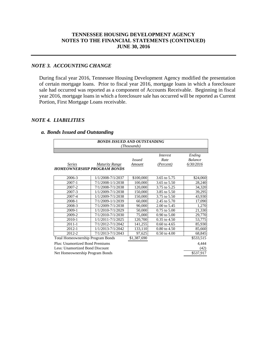#### *NOTE 3. ACCOUNTING CHANGE*

During fiscal year 2016, Tennessee Housing Development Agency modified the presentation of certain mortgage loans. Prior to fiscal year 2016, mortgage loans in which a foreclosure sale had occurred was reported as a component of Accounts Receivable. Beginning in fiscal year 2016, mortgage loans in which a foreclosure sale has occurred will be reported as Current Portion, First Mortgage Loans receivable.

#### *NOTE 4. LIABILITIES*

| <b>BONDS ISSUED AND OUTSTANDING</b>      |                                    |               |                         |                |  |  |
|------------------------------------------|------------------------------------|---------------|-------------------------|----------------|--|--|
| (Thousands)                              |                                    |               |                         |                |  |  |
|                                          |                                    |               |                         |                |  |  |
|                                          |                                    |               | <i>Interest</i>         | Ending         |  |  |
|                                          |                                    | <i>Issued</i> | Rate                    | <b>Balance</b> |  |  |
| <i>Series</i>                            | <b>Maturity Range</b>              | Amount        | (Percent)               | 6/30/2016      |  |  |
|                                          | <b>HOMEOWNERSHIP PROGRAM BONDS</b> |               |                         |                |  |  |
|                                          |                                    |               |                         |                |  |  |
| 2006-3                                   | 1/1/2008-7/1/2037                  | \$100,000     | 3.65 to 5.75            | \$24,060       |  |  |
| $2007 - 1$                               | 7/1/2008-1/1/2038                  | 100,000       | 3.65 to 5.50            | 28,240         |  |  |
| 2007-2                                   | 7/1/2008-7/1/2038                  | 120,000       | 3.75 to 5.25            | 34,320         |  |  |
| 2007-3                                   | 1/1/2009-7/1/2038                  | 150,000       | 3.85 to 5.50            | 39,295         |  |  |
| 2007-4                                   | 1/1/2009-7/1/2038                  | 150,000       | 3.75 to 5.50            | 43,930         |  |  |
| 2008-1                                   | 7/1/2009-1/1/2039                  | 60,000        | 2.45 to 5.70            | 17,090         |  |  |
| 2008-3                                   | 7/1/2009-7/1/2038                  | 90,000        | 2.00 to 5.45            | 1,270          |  |  |
| 2009-1                                   | 1/1/2010-7/1/2029                  | 50,000        | $0.75$ to $5.00$        | 21,330         |  |  |
| 2009-2                                   | 7/1/2010-7/1/2030                  | 75,000        | $0.90 \text{ to } 5.00$ | 29,770         |  |  |
| 2010-1                                   | 1/1/2011-7/1/2025                  | 120,700       | $0.35$ to $4.50$        | 53,775         |  |  |
| $2011 - 1$                               | 7/1/2012-7/1/2042                  | 141,255       | $0.60$ to 4.65          | 85,930         |  |  |
| $2012 - 1$                               | 1/1/2013-7/1/2042                  | 133,110       | $0.80$ to $4.50$        | 85,660         |  |  |
| 2012-2                                   | 7/1/2013-7/1/2043                  | 97,625        | $0.50$ to $4.00$        | 68,845         |  |  |
| <b>Total Homeownership Program Bonds</b> |                                    | \$1,387,690   |                         | \$533,515      |  |  |
| Plus: Unamortized Bond Premiums          |                                    |               |                         | 4,444          |  |  |
| Less: Unamortized Bond Discount          |                                    |               |                         | (42)           |  |  |
| Net Homeownership Program Bonds          |                                    |               |                         | \$537,917      |  |  |
|                                          |                                    |               |                         |                |  |  |

#### *a. Bonds Issued and Outstanding*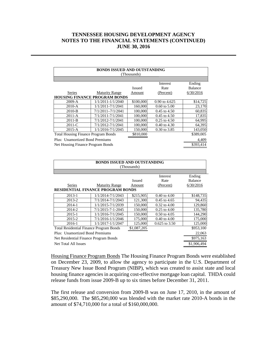| <b>BONDS ISSUED AND OUTSTANDING</b><br>(Thousands) |                       |               |                         |                |  |  |  |  |
|----------------------------------------------------|-----------------------|---------------|-------------------------|----------------|--|--|--|--|
|                                                    |                       |               |                         |                |  |  |  |  |
|                                                    |                       |               | Interest                | Ending         |  |  |  |  |
|                                                    |                       | <b>Issued</b> | Rate                    | <b>Balance</b> |  |  |  |  |
| Series                                             | <b>Maturity Range</b> | Amount        | (Percent)               | 6/30/2016      |  |  |  |  |
| <b>HOUSING FINANCE PROGRAM BONDS</b>               |                       |               |                         |                |  |  |  |  |
| $2009 - A$                                         | 1/1/2011-1/1/2040     | \$100,000     | $0.90$ to $4.625$       | \$14,725       |  |  |  |  |
| $2010-A$                                           | 1/1/2011-7/1/2041     | 160,000       | $0.60 \text{ to } 5.00$ | 23,170         |  |  |  |  |
| $2010-B$                                           | 7/1/2011-7/1/2041     | 100,000       | $0.45$ to $4.50$        | 60,835         |  |  |  |  |
| $2011-A$                                           | 7/1/2011-7/1/2041     | 100,000       | $0.45$ to $4.50$        | 17,835         |  |  |  |  |
| $2011-B$                                           | 7/1/2012-7/1/2041     | 100,000       | $0.25$ to $4.50$        | 64,995         |  |  |  |  |
| $2011 - C$                                         | 7/1/2012-7/1/2041     | 100,000       | $0.40$ to $4.30$        | 64,395         |  |  |  |  |
| $2015 - A$                                         | 1/1/2016-7/1/2045     | 150,000       | $0.30 \text{ to } 3.85$ | 143,050        |  |  |  |  |
| <b>Total Housing Finance Program Bonds</b>         |                       | \$810,000     |                         | \$389,005      |  |  |  |  |
| Plus: Unamortized Bond Premiums                    |                       |               |                         | 4,409          |  |  |  |  |
| Net Housing Finance Program Bonds                  | \$393.414             |               |                         |                |  |  |  |  |

| <b>BONDS ISSUED AND OUTSTANDING</b>            |                       |               |                         |             |  |  |  |  |
|------------------------------------------------|-----------------------|---------------|-------------------------|-------------|--|--|--|--|
| (Thousands)                                    |                       |               |                         |             |  |  |  |  |
|                                                |                       |               |                         |             |  |  |  |  |
|                                                |                       |               | Interest                | Ending      |  |  |  |  |
|                                                |                       | <b>Issued</b> | Rate                    | Balance     |  |  |  |  |
| Series                                         | <b>Maturity Range</b> | Amount        | (Percent)               | 6/30/2016   |  |  |  |  |
| <b>RESIDENTIAL FINANCE PROGRAM BONDS</b>       |                       |               |                         |             |  |  |  |  |
| $2013 - 1$                                     | 1/1/2014-7/1/2043     | \$215,905     | $0.40 \text{ to } 4.00$ | \$148,735   |  |  |  |  |
| 2013-2                                         | 7/1/2014-7/1/2043     | 121,300       | $0.45$ to 4.65          | 94,435      |  |  |  |  |
| $2014 - 1$                                     | 1/1/2015-7/1/2039     | 150,000       | $0.32$ to $4.00$        | 129,860     |  |  |  |  |
| 2014-2                                         | 7/1/2015-7-1-2045     | 150,000       | $0.25$ to $4.00$        | 135,780     |  |  |  |  |
| $2015 - 1$                                     | 1/1/2016-7/1/2045     | 150,000       | $0.50 \text{ to } 4.05$ | 144,290     |  |  |  |  |
| 2015-2                                         | 7/1/2016-1/1/2046     | 175,000       | $0.40 \text{ to } 4.00$ | 175,000     |  |  |  |  |
| 2016-1                                         | 1/1/2017-1/1/2047     | 125,000       | $0.625$ to 3.50         | 125,000     |  |  |  |  |
| <b>Total Residential Finance Program Bonds</b> |                       | \$1,087,205   |                         | \$953,100   |  |  |  |  |
| Plus: Unamortized Bond Premiums                |                       |               |                         | 22,063      |  |  |  |  |
| Net Residential Finance Program Bonds          | \$975,163             |               |                         |             |  |  |  |  |
| Net Total All Issues                           |                       |               |                         | \$1,906,494 |  |  |  |  |

Housing Finance Program Bonds The Housing Finance Program Bonds were established on December 23, 2009, to allow the agency to participate in the U.S. Department of Treasury New Issue Bond Program (NIBP), which was created to assist state and local housing finance agencies in acquiring cost-effective mortgage loan capital. THDA could release funds from issue 2009-B up to six times before December 31, 2011.

The first release and conversion from 2009-B was on June 17, 2010, in the amount of \$85,290,000. The \$85,290,000 was blended with the market rate 2010-A bonds in the amount of \$74,710,000 for a total of \$160,000,000.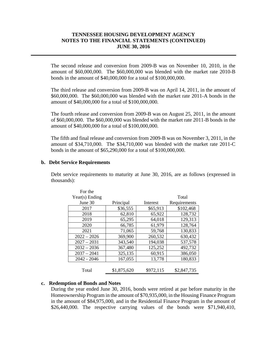The second release and conversion from 2009-B was on November 10, 2010, in the amount of \$60,000,000. The \$60,000,000 was blended with the market rate 2010-B bonds in the amount of \$40,000,000 for a total of \$100,000,000.

The third release and conversion from 2009-B was on April 14, 2011, in the amount of \$60,000,000. The \$60,000,000 was blended with the market rate 2011-A bonds in the amount of \$40,000,000 for a total of \$100,000,000.

The fourth release and conversion from 2009-B was on August 25, 2011, in the amount of \$60,000,000. The \$60,000,000 was blended with the market rate 2011-B bonds in the amount of \$40,000,000 for a total of \$100,000,000.

The fifth and final release and conversion from 2009-B was on November 3, 2011, in the amount of \$34,710,000. The \$34,710,000 was blended with the market rate 2011-C bonds in the amount of \$65,290,000 for a total of \$100,000,000.

#### **b. Debt Service Requirements**

Debt service requirements to maturity at June 30, 2016, are as follows (expressed in thousands):

| For the          |             |           |              |
|------------------|-------------|-----------|--------------|
| $Year(s)$ Ending |             |           | Total        |
| June 30          | Principal   | Interest  | Requirements |
| 2017             | \$36,555    | \$65,913  | \$102,468    |
| 2018             | 62,810      | 65,922    | 128,732      |
| 2019             | 65,295      | 64,018    | 129,313      |
| 2020             | 66,785      | 61,979    | 128,764      |
| 2021             | 71,065      | 59,768    | 130,833      |
| $2022 - 2026$    | 369,900     | 260,532   | 630,432      |
| $2027 - 2031$    | 343,540     | 194,038   | 537,578      |
| $2032 - 2036$    | 367,480     | 125,252   | 492,732      |
| $2037 - 2041$    | 325,135     | 60,915    | 386,050      |
| $2042 - 2046$    | 167,055     | 13,778    | 180,833      |
|                  |             |           |              |
| Total            | \$1,875,620 | \$972,115 | \$2,847,735  |

#### **c. Redemption of Bonds and Notes**

During the year ended June 30, 2016, bonds were retired at par before maturity in the Homeownership Program in the amount of \$70,935,000, in the Housing Finance Program in the amount of \$84,975,000, and in the Residential Finance Program in the amount of \$26,440,000. The respective carrying values of the bonds were \$71,940,410,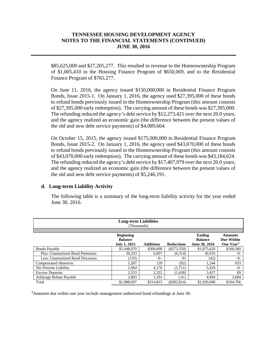\$85,625,000 and \$27,205,277. This resulted in revenue to the Homeownership Program of \$1,005,410 to the Housing Finance Program of \$650,069, and to the Residential Finance Program of \$765,277.

On June 11, 2016, the agency issued \$150,000,000 in Residential Finance Program Bonds, Issue 2015-1. On January 1, 2016, the agency used \$27,395,000 of these bonds to refund bonds previously issued in the Homeownership Program (this amount consists of \$27,395,000 early redemption). The carrying amount of these bonds was \$27,395,000. The refunding reduced the agency's debt service by \$12,273,421 over the next 20.0 years, and the agency realized an economic gain (the difference between the present values of the old and new debt service payments) of \$4,089,664.

On October 15, 2015, the agency issued \$175,000,000 in Residential Finance Program Bonds, Issue 2015-2. On January 1, 2016, the agency used \$43,070,000 of these bonds to refund bonds previously issued in the Homeownership Program (this amount consists of \$43,070,000 early redemption). The carrying amount of these bonds was \$43,184,624. The refunding reduced the agency's debt service by \$17,407,979 over the next 20.0 years, and the agency realized an economic gain (the difference between the present values of the old and new debt service payments) of \$5,246,191.

#### **d. Long-term Liability Activity**

The following table is a summary of the long-term liability activity for the year ended June 30, 2016.

| <b>Long-term Liabilities</b><br>(Thousands) |                                                           |                  |                   |                                           |                                                       |  |  |  |
|---------------------------------------------|-----------------------------------------------------------|------------------|-------------------|-------------------------------------------|-------------------------------------------------------|--|--|--|
|                                             | <b>Beginning</b><br><b>Balance</b><br><b>July 1, 2015</b> | <b>Additions</b> | <b>Reductions</b> | Ending<br><b>Balance</b><br>June 30, 2016 | <b>Amounts</b><br>Due Within<br>One Year <sup>3</sup> |  |  |  |
| <b>Bonds Payable</b>                        | \$1,948,970                                               | \$300,000        | $(\$373,350)$     | \$1,875,620                               | \$100,360                                             |  |  |  |
| <b>Plus: Unamortized Bond Premiums</b>      | 30,333                                                    | 6,897            | (6,314)           | 30,916                                    | $-0-$                                                 |  |  |  |
| <b>Less: Unamortized Bond Discounts</b>     | (133)                                                     | $-()$ -          | 91                | (42)                                      | -0-                                                   |  |  |  |
| <b>Compensated Absences</b>                 | 1.207                                                     | 129              | (92)              | 1.244                                     | 633                                                   |  |  |  |
| Net Pension Liability                       | 2,964                                                     | 4,176            | (1,711)           | 5,429                                     | -0-                                                   |  |  |  |
| <b>Escrow Deposits</b>                      | 2,553                                                     | 2,322            | (1, 438)          | 3,437                                     | 89                                                    |  |  |  |
| Arbitrage Rebate Payable                    | 2.803                                                     | 1.291            | $(-0)$            | 4,094                                     | 3,684                                                 |  |  |  |
| Total                                       | \$1,988,697                                               | \$314,815        | (\$382.814)       | \$1,920,698                               | \$104,766                                             |  |  |  |

3Amounts due within one year include management authorized bond refundings at June 30.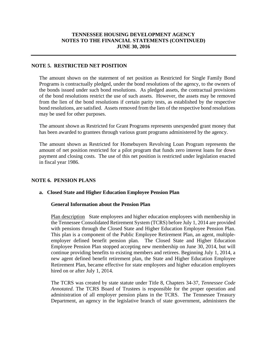#### **NOTE 5. RESTRICTED NET POSITION**

The amount shown on the statement of net position as Restricted for Single Family Bond Programs is contractually pledged, under the bond resolutions of the agency, to the owners of the bonds issued under such bond resolutions. As pledged assets, the contractual provisions of the bond resolutions restrict the use of such assets. However, the assets may be removed from the lien of the bond resolutions if certain parity tests, as established by the respective bond resolutions, are satisfied. Assets removed from the lien of the respective bond resolutions may be used for other purposes.

The amount shown as Restricted for Grant Programs represents unexpended grant money that has been awarded to grantees through various grant programs administered by the agency.

The amount shown as Restricted for Homebuyers Revolving Loan Program represents the amount of net position restricted for a pilot program that funds zero interest loans for down payment and closing costs. The use of this net position is restricted under legislation enacted in fiscal year 1986.

#### **NOTE 6. PENSION PLANS**

#### **a. Closed State and Higher Education Employee Pension Plan**

#### **General Information about the Pension Plan**

Plan description State employees and higher education employees with membership in the Tennessee Consolidated Retirement System (TCRS) before July 1, 2014 are provided with pensions through the Closed State and Higher Education Employee Pension Plan. This plan is a component of the Public Employee Retirement Plan, an agent, multipleemployer defined benefit pension plan. The Closed State and Higher Education Employee Pension Plan stopped accepting new membership on June 30, 2014, but will continue providing benefits to existing members and retirees. Beginning July 1, 2014, a new agent defined benefit retirement plan, the State and Higher Education Employee Retirement Plan, became effective for state employees and higher education employees hired on or after July 1, 2014.

The TCRS was created by state statute under Title 8, Chapters 34-37, *Tennessee Code Annotated*. The TCRS Board of Trustees is responsible for the proper operation and administration of all employer pension plans in the TCRS. The Tennessee Treasury Department, an agency in the legislative branch of state government, administers the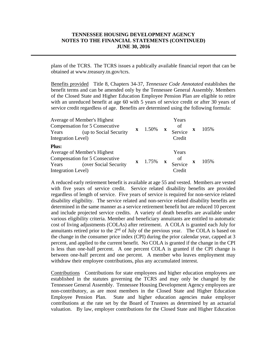plans of the TCRS. The TCRS issues a publically available financial report that can be obtained at www.treasury.tn.gov/tcrs.

Benefits provided Title 8, Chapters 34-37, *Tennessee Code Annotated* establishes the benefit terms and can be amended only by the Tennessee General Assembly. Members of the Closed State and Higher Education Employee Pension Plan are eligible to retire with an unreduced benefit at age 60 with 5 years of service credit or after 30 years of service credit regardless of age. Benefits are determined using the following formula:

| Average of Member's Highest      |              |       |              | Years         |              |      |
|----------------------------------|--------------|-------|--------------|---------------|--------------|------|
| Compensation for 5 Consecutive   |              | 1.50% |              | of<br>Service |              | 105% |
| (up to Social Security)<br>Years | $\mathbf{x}$ |       | $\mathbf{x}$ |               | $\mathbf{X}$ |      |
| Integration Level)               |              |       |              | Credit        |              |      |
| <b>Plus:</b>                     |              |       |              |               |              |      |
| Average of Member's Highest      |              |       |              | Years         |              |      |
| Compensation for 5 Consecutive   |              | 1.75% |              |               |              | 105% |
| (over Social Security<br>Years   | $\mathbf{x}$ |       | $\mathbf{x}$ | of<br>Service | $\mathbf x$  |      |
| Integration Level)               |              |       |              | Credit        |              |      |

A reduced early retirement benefit is available at age 55 and vested. Members are vested with five years of service credit. Service related disability benefits are provided regardless of length of service. Five years of service is required for non-service related disability eligibility. The service related and non-service related disability benefits are determined in the same manner as a service retirement benefit but are reduced 10 percent and include projected service credits. A variety of death benefits are available under various eligibility criteria. Member and beneficiary annuitants are entitled to automatic cost of living adjustments (COLAs) after retirement. A COLA is granted each July for annuitants retired prior to the  $2<sup>nd</sup>$  of July of the previous year. The COLA is based on the change in the consumer price index (CPI) during the prior calendar year, capped at 3 percent, and applied to the current benefit. No COLA is granted if the change in the CPI is less than one-half percent. A one percent COLA is granted if the CPI change is between one-half percent and one percent. A member who leaves employment may withdraw their employee contributions, plus any accumulated interest.

Contributions Contributions for state employees and higher education employees are established in the statutes governing the TCRS and may only be changed by the Tennessee General Assembly. Tennessee Housing Development Agency employees are non-contributory, as are most members in the Closed State and Higher Education Employee Pension Plan. State and higher education agencies make employer contributions at the rate set by the Board of Trustees as determined by an actuarial valuation. By law, employer contributions for the Closed State and Higher Education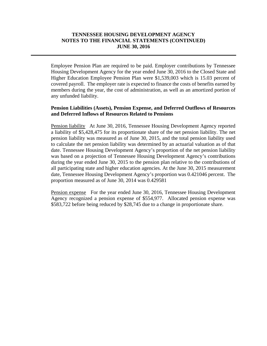Employee Pension Plan are required to be paid. Employer contributions by Tennessee Housing Development Agency for the year ended June 30, 2016 to the Closed State and Higher Education Employee Pension Plan were \$1,539,003 which is 15.03 percent of covered payroll. The employer rate is expected to finance the costs of benefits earned by members during the year, the cost of administration, as well as an amortized portion of any unfunded liability.

#### **Pension Liabilities (Assets), Pension Expense, and Deferred Outflows of Resources and Deferred Inflows of Resources Related to Pensions**

Pension liabilityAt June 30, 2016, Tennessee Housing Development Agency reported a liability of \$5,428,475 for its proportionate share of the net pension liability. The net pension liability was measured as of June 30, 2015, and the total pension liability used to calculate the net pension liability was determined by an actuarial valuation as of that date. Tennessee Housing Development Agency's proportion of the net pension liability was based on a projection of Tennessee Housing Development Agency's contributions during the year ended June 30, 2015 to the pension plan relative to the contributions of all participating state and higher education agencies. At the June 30, 2015 measurement date, Tennessee Housing Development Agency's proportion was 0.421046 percent. The proportion measured as of June 30, 2014 was 0.429581

Pension expenseFor the year ended June 30, 2016, Tennessee Housing Development Agency recognized a pension expense of \$554,977. Allocated pension expense was \$583,722 before being reduced by \$28,745 due to a change in proportionate share.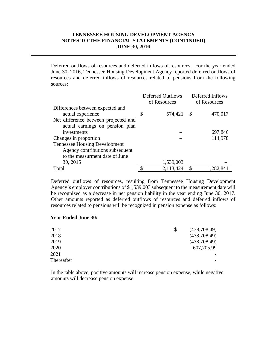Deferred outflows of resources and deferred inflows of resources For the year ended June 30, 2016, Tennessee Housing Development Agency reported deferred outflows of resources and deferred inflows of resources related to pensions from the following sources:

|                                      | <b>Deferred Outflows</b><br>of Resources |    | Deferred Inflows<br>of Resources |
|--------------------------------------|------------------------------------------|----|----------------------------------|
| Differences between expected and     |                                          |    |                                  |
| actual experience                    | \$<br>574,421                            | S  | 470,017                          |
| Net difference between projected and |                                          |    |                                  |
| actual earnings on pension plan      |                                          |    |                                  |
| investments                          |                                          |    | 697,846                          |
| Changes in proportion                |                                          |    | 114,978                          |
| <b>Tennessee Housing Development</b> |                                          |    |                                  |
| Agency contributions subsequent      |                                          |    |                                  |
| to the measurment date of June       |                                          |    |                                  |
| 30, 2015                             | 1,539,003                                |    |                                  |
| Total                                | 2,113,424                                | \$ | 1,282,841                        |

Deferred outflows of resources, resulting from Tennessee Housing Development Agency's employer contributions of \$1,539,003 subsequent to the measurement date will be recognized as a decrease in net pension liability in the year ending June 30, 2017. Other amounts reported as deferred outflows of resources and deferred inflows of resources related to pensions will be recognized in pension expense as follows:

#### **Year Ended June 30:**

| 2017       | \$<br>(438,708.49) |
|------------|--------------------|
| 2018       | (438,708.49)       |
| 2019       | (438,708.49)       |
| 2020       | 607,705.99         |
| 2021       |                    |
| Thereafter |                    |

In the table above, positive amounts will increase pension expense, while negative amounts will decrease pension expense.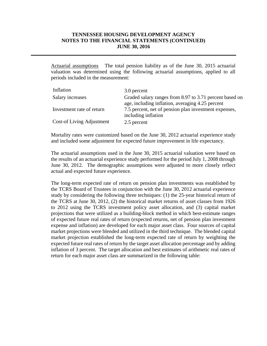Actuarial assumptionsThe total pension liability as of the June 30, 2015 actuarial valuation was determined using the following actuarial assumptions, applied to all periods included in the measurement:

| Inflation                        | 3.0 percent                                                                                                 |
|----------------------------------|-------------------------------------------------------------------------------------------------------------|
| Salary increases                 | Graded salary ranges from 8.97 to 3.71 percent based on<br>age, including inflation, averaging 4.25 percent |
| Investment rate of return        | 7.5 percent, net of pension plan investment expenses,<br>including inflation                                |
| <b>Cost-of Living Adjustment</b> | 2.5 percent                                                                                                 |

Mortality rates were customized based on the June 30, 2012 actuarial experience study and included some adjustment for expected future improvement in life expectancy.

The actuarial assumptions used in the June 30, 2015 actuarial valuation were based on the results of an actuarial experience study performed for the period July 1, 2008 through June 30, 2012. The demographic assumptions were adjusted to more closely reflect actual and expected future experience.

The long-term expected rate of return on pension plan investments was established by the TCRS Board of Trustees in conjunction with the June 30, 2012 actuarial experience study by considering the following three techniques: (1) the 25-year historical return of the TCRS at June 30, 2012, (2) the historical market returns of asset classes from 1926 to 2012 using the TCRS investment policy asset allocation, and (3) capital market projections that were utilized as a building-block method in which best-estimate ranges of expected future real rates of return (expected returns, net of pension plan investment expense and inflation) are developed for each major asset class. Four sources of capital market projections were blended and utilized in the third technique. The blended capital market projection established the long-term expected rate of return by weighting the expected future real rates of return by the target asset allocation percentage and by adding inflation of 3 percent. The target allocation and best estimates of arithmetic real rates of return for each major asset class are summarized in the following table: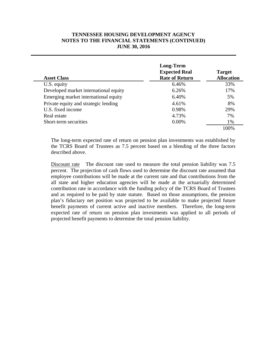| <b>Asset Class</b>                    | <b>Long-Term</b><br><b>Expected Real</b><br><b>Rate of Return</b> | <b>Target</b><br><b>Allocation</b> |
|---------------------------------------|-------------------------------------------------------------------|------------------------------------|
| U.S. equity                           | 6.46%                                                             | 33%                                |
| Developed market international equity | 6.26%                                                             | 17%                                |
| Emerging market international equity  | 6.40%                                                             | 5%                                 |
| Private equity and strategic lending  | 4.61%                                                             | 8%                                 |
| U.S. fixed income                     | 0.98%                                                             | 29%                                |
| Real estate                           | 4.73%                                                             | 7%                                 |
| Short-term securities                 | $0.00\%$                                                          | 1%                                 |
|                                       |                                                                   | 100%                               |

The long-term expected rate of return on pension plan investments was established by the TCRS Board of Trustees as 7.5 percent based on a blending of the three factors described above.

Discount rateThe discount rate used to measure the total pension liability was 7.5 percent. The projection of cash flows used to determine the discount rate assumed that employee contributions will be made at the current rate and that contributions from the all state and higher education agencies will be made at the actuarially determined contribution rate in accordance with the funding policy of the TCRS Board of Trustees and as required to be paid by state statute. Based on those assumptions, the pension plan's fiduciary net position was projected to be available to make projected future benefit payments of current active and inactive members. Therefore, the long-term expected rate of return on pension plan investments was applied to all periods of projected benefit payments to determine the total pension liability.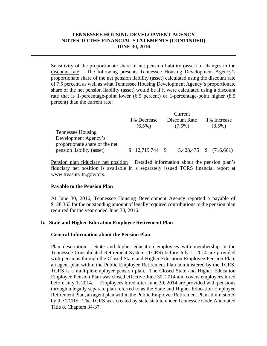Sensitivity of the proportionate share of net pension liability (asset) to changes in the discount rate The following presents Tennessee Housing Development Agency's proportionate share of the net pension liability (asset) calculated using the discount rate of 7.5 percent, as well as what Tennessee Housing Development Agency's proportionate share of the net pension liability (asset) would be if it were calculated using a discount rate that is 1-percentage-point lower  $(6.5 \text{ percent})$  or 1-percentage-point higher  $(8.5 \text{ percent})$ percent) than the current rate:

|                                | Current |                          |  |                            |  |                           |
|--------------------------------|---------|--------------------------|--|----------------------------|--|---------------------------|
|                                |         | 1% Decrease<br>$(6.5\%)$ |  | Discount Rate<br>$(7.5\%)$ |  | 1\% Increase<br>$(8.5\%)$ |
| <b>Tennessee Housing</b>       |         |                          |  |                            |  |                           |
| Development Agency's           |         |                          |  |                            |  |                           |
| proportionate share of the net |         |                          |  |                            |  |                           |
| pension liability (asset)      |         | $$12,719,744$ \\$        |  | 5,428,475 \$ (716,661)     |  |                           |

Pension plan fiduciary net positionDetailed information about the pension plan's fiduciary net position is available in a separately issued TCRS financial report at www.treasury.tn.gov/tcrs.

#### **Payable to the Pension Plan**

At June 30, 2016, Tennessee Housing Development Agency reported a payable of \$128,363 for the outstanding amount of legally required contributions to the pension plan required for the year ended June 30, 2016.

#### **b. State and Higher Education Employee Retirement Plan**

#### **General Information about the Pension Plan**

Plan descriptionState and higher education employees with membership in the Tennessee Consolidated Retirement System (TCRS) before July 1, 2014 are provided with pensions through the Closed State and Higher Education Employee Pension Plan, an agent plan within the Public Employee Retirement Plan administered by the TCRS. TCRS is a multiple-employer pension plan. The Closed State and Higher Education Employee Pension Plan was closed effective June 30, 2014 and covers employees hired before July 1, 2014. Employees hired after June 30, 2014 are provided with pensions through a legally separate plan referred to as the State and Higher Education Employee Retirement Plan, an agent plan within the Public Employee Retirement Plan administered by the TCRS. The TCRS was created by state statute under Tennessee Code Annotated Title 8, Chapters 34-37.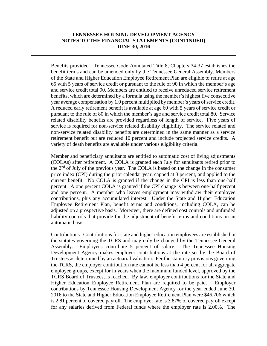Benefits providedTennessee Code Annotated Title 8, Chapters 34-37 establishes the benefit terms and can be amended only by the Tennessee General Assembly. Members of the State and Higher Education Employee Retirement Plan are eligible to retire at age 65 with 5 years of service credit or pursuant to the rule of 90 in which the member's age and service credit total 90. Members are entitled to receive unreduced service retirement benefits, which are determined by a formula using the member's highest five consecutive year average compensation by 1.0 percent multiplied by member's years of service credit. A reduced early retirement benefit is available at age 60 with 5 years of service credit or pursuant to the rule of 80 in which the member's age and service credit total 80. Service related disability benefits are provided regardless of length of service. Five years of service is required for non-service related disability eligibility. The service related and non-service related disability benefits are determined in the same manner as a service retirement benefit but are reduced 10 percent and include projected service credits. A variety of death benefits are available under various eligibility criteria.

Member and beneficiary annuitants are entitled to automatic cost of living adjustments (COLAs) after retirement. A COLA is granted each July for annuitants retired prior to the  $2<sup>nd</sup>$  of July of the previous year. The COLA is based on the change in the consumer price index (CPI) during the prior calendar year, capped at 3 percent, and applied to the current benefit. No COLA is granted if the change in the CPI is less than one-half percent. A one percent COLA is granted if the CPI change is between one-half percent and one percent. A member who leaves employment may withdraw their employee contributions, plus any accumulated interest. Under the State and Higher Education Employee Retirement Plan, benefit terms and conditions, including COLA, can be adjusted on a prospective basis. Moreover, there are defined cost controls and unfunded liability controls that provide for the adjustment of benefit terms and conditions on an automatic basis.

ContributionsContributions for state and higher education employees are established in the statutes governing the TCRS and may only be changed by the Tennessee General Assembly. Employees contribute 5 percent of salary. The Tennessee Housing Development Agency makes employer contributions at the rate set by the Board of Trustees as determined by an actuarial valuation. Per the statutory provisions governing the TCRS, the employer contribution rate cannot be less than 4 percent for all aggregate employee groups, except for in years when the maximum funded level, approved by the TCRS Board of Trustees, is reached. By law, employer contributions for the State and Higher Education Employee Retirement Plan are required to be paid. Employer contributions by Tennessee Housing Development Agency for the year ended June 30, 2016 to the State and Higher Education Employee Retirement Plan were \$46,706 which is 2.81 percent of covered payroll. The employer rate is 3.87% of covered payroll except for any salaries derived from Federal funds where the employer rate is 2.00%. The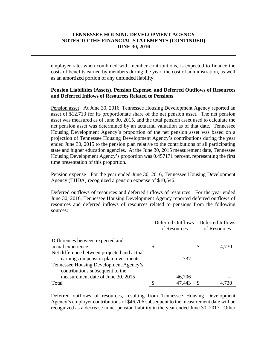employer rate, when combined with member contributions, is expected to finance the costs of benefits earned by members during the year, the cost of administration, as well as an amortized portion of any unfunded liability.

#### **Pension Liabilities (Assets), Pension Expense, and Deferred Outflows of Resources and Deferred Inflows of Resources Related to Pensions**

Pension assetAt June 30, 2016, Tennessee Housing Development Agency reported an asset of \$12,713 for its proportionate share of the net pension asset. The net pension asset was measured as of June 30, 2015, and the total pension asset used to calculate the net pension asset was determined by an actuarial valuation as of that date. Tennessee Housing Development Agency's proportion of the net pension asset was based on a projection of Tennessee Housing Development Agency's contributions during the year ended June 30, 2015 to the pension plan relative to the contributions of all participating state and higher education agencies. At the June 30, 2015 measurement date, Tennessee Housing Development Agency's proportion was 0.457171 percent, representing the first time presentation of this proportion.

Pension expense For the year ended June 30, 2016, Tennessee Housing Development Agency (THDA) recognized a pension expense of \$10,546.

Deferred outflows of resources and deferred inflows of resources For the year ended June 30, 2016, Tennessee Housing Development Agency reported deferred outflows of resources and deferred inflows of resources related to pensions from the following sources:

|                                                                                     | Deferred Outflows<br>of Resources | Deferred Inflows<br>of Resources |
|-------------------------------------------------------------------------------------|-----------------------------------|----------------------------------|
| Differences between expected and                                                    |                                   |                                  |
| actual experience                                                                   | \$                                | 4,730                            |
| Net difference between projected and actual<br>earnings on pension plan investments | 737                               |                                  |
| Tennessee Housing Development Agency's<br>contributions subsequent to the           |                                   |                                  |
| measurement date of June 30, 2015                                                   | 46,706                            |                                  |
| Total                                                                               | 47,443                            |                                  |

Deferred outflows of resources, resulting from Tennessee Housing Development Agency's employer contributions of \$46,706 subsequent to the measurement date will be recognized as a decrease in net pension liability in the year ended June 30, 2017. Other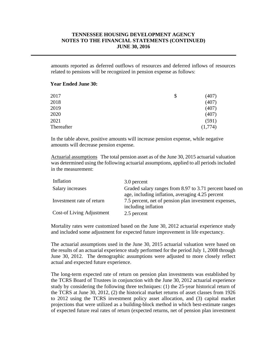amounts reported as deferred outflows of resources and deferred inflows of resources related to pensions will be recognized in pension expense as follows:

#### **Year Ended June 30:**

| \$<br>(407) |
|-------------|
| (407)       |
| (407)       |
| (407)       |
| (591)       |
| (1,774)     |
|             |

In the table above, positive amounts will increase pension expense, while negative amounts will decrease pension expense.

Actuarial assumptionsThe total pension asset as of the June 30, 2015 actuarial valuation was determined using the following actuarial assumptions, applied to all periods included in the measurement:

| Inflation                        | 3.0 percent                                                                                                 |
|----------------------------------|-------------------------------------------------------------------------------------------------------------|
| Salary increases                 | Graded salary ranges from 8.97 to 3.71 percent based on<br>age, including inflation, averaging 4.25 percent |
| Investment rate of return        | 7.5 percent, net of pension plan investment expenses,<br>including inflation                                |
| <b>Cost-of Living Adjustment</b> | 2.5 percent                                                                                                 |

Mortality rates were customized based on the June 30, 2012 actuarial experience study and included some adjustment for expected future improvement in life expectancy.

The actuarial assumptions used in the June 30, 2015 actuarial valuation were based on the results of an actuarial experience study performed for the period July 1, 2008 through June 30, 2012. The demographic assumptions were adjusted to more closely reflect actual and expected future experience.

The long-term expected rate of return on pension plan investments was established by the TCRS Board of Trustees in conjunction with the June 30, 2012 actuarial experience study by considering the following three techniques: (1) the 25-year historical return of the TCRS at June 30, 2012, (2) the historical market returns of asset classes from 1926 to 2012 using the TCRS investment policy asset allocation, and (3) capital market projections that were utilized as a building-block method in which best-estimate ranges of expected future real rates of return (expected returns, net of pension plan investment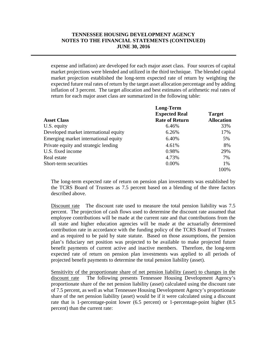expense and inflation) are developed for each major asset class. Four sources of capital market projections were blended and utilized in the third technique. The blended capital market projection established the long-term expected rate of return by weighting the expected future real rates of return by the target asset allocation percentage and by adding inflation of 3 percent. The target allocation and best estimates of arithmetic real rates of return for each major asset class are summarized in the following table:

|                                       | <b>Long-Term</b>      |                   |
|---------------------------------------|-----------------------|-------------------|
|                                       | <b>Expected Real</b>  | <b>Target</b>     |
| <b>Asset Class</b>                    | <b>Rate of Return</b> | <b>Allocation</b> |
| U.S. equity                           | 6.46%                 | 33%               |
| Developed market international equity | 6.26%                 | 17%               |
| Emerging market international equity  | 6.40%                 | 5%                |
| Private equity and strategic lending  | 4.61%                 | 8%                |
| U.S. fixed income                     | 0.98%                 | 29%               |
| Real estate                           | 4.73%                 | 7%                |
| Short-term securities                 | 0.00%                 | 1%                |
|                                       |                       | 100%              |

The long-term expected rate of return on pension plan investments was established by the TCRS Board of Trustees as 7.5 percent based on a blending of the three factors described above.

Discount rate The discount rate used to measure the total pension liability was 7.5 percent. The projection of cash flows used to determine the discount rate assumed that employee contributions will be made at the current rate and that contributions from the all state and higher education agencies will be made at the actuarially determined contribution rate in accordance with the funding policy of the TCRS Board of Trustees and as required to be paid by state statute. Based on those assumptions, the pension plan's fiduciary net position was projected to be available to make projected future benefit payments of current active and inactive members. Therefore, the long-term expected rate of return on pension plan investments was applied to all periods of projected benefit payments to determine the total pension liability (asset).

Sensitivity of the proportionate share of net pension liability (asset) to changes in the discount rate The following presents Tennessee Housing Development Agency's proportionate share of the net pension liability (asset) calculated using the discount rate of 7.5 percent, as well as what Tennessee Housing Development Agency's proportionate share of the net pension liability (asset) would be if it were calculated using a discount rate that is 1-percentage-point lower  $(6.5 \text{ percent})$  or 1-percentage-point higher  $(8.5 \text{ percent})$ percent) than the current rate: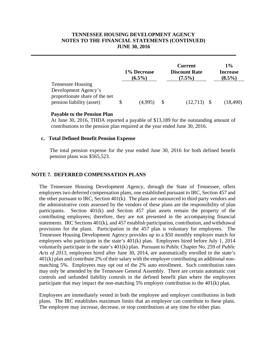|                                                                             | 1% Decrease<br>$(6.5\%)$ | <b>Current</b><br><b>Discount Rate</b><br>$(7.5\%)$ | $1\%$<br><b>Increase</b><br>$(8.5\%)$ |
|-----------------------------------------------------------------------------|--------------------------|-----------------------------------------------------|---------------------------------------|
| Tennessee Housing<br>Development Agency's<br>proportionate share of the net |                          |                                                     |                                       |
| pension liability (asset)                                                   | (4,995)                  | $(12,713)$ \$                                       | (18, 490)                             |

#### **Payable to the Pension Plan**

At June 30, 2016, THDA reported a payable of \$13,189 for the outstanding amount of contributions to the pension plan required at the year ended June 30, 2016.

#### **c. Total Defined Benefit Pension Expense**

The total pension expense for the year ended June 30, 2016 for both defined benefit pension plans was \$565,523.

#### **NOTE 7. DEFERRED COMPENSATION PLANS**

The Tennessee Housing Development Agency, through the State of Tennessee, offers employees two deferred compensation plans, one established pursuant to IRC, Section 457 and the other pursuant to IRC, Section 401(k). The plans are outsourced to third party vendors and the administrative costs assessed by the vendors of these plans are the responsibility of plan participants. Section 401(k) and Section 457 plan assets remain the property of the contributing employees; therefore, they are not presented in the accompanying financial statements. IRC Sections 401(k), and 457 establish participation, contribution, and withdrawal provisions for the plans. Participation in the 457 plan is voluntary for employees. The Tennessee Housing Development Agency provides up to a \$50 monthly employer match for employees who participate in the state's 401(k) plan. Employees hired before July 1, 2014 voluntarily participate in the state's 401(k) plan. Pursuant to Public Chapter No. 259 of *Public Acts of 2013,* employees hired after June 30, 2014, are automatically enrolled in the state's 401(k) plan and contribute 2% of their salary with the employer contributing an additional nonmatching 5%. Employees may opt out of the 2% auto enrollment. Such contribution rates may only be amended by the Tennessee General Assembly. There are certain automatic cost controls and unfunded liability controls in the defined benefit plan where the employees participate that may impact the non-matching 5% employer contribution to the 401(k) plan.

Employees are immediately vested in both the employee and employer contributions in both plans. The IRC establishes maximum limits that an employee can contribute to these plans. The employee may increase, decrease, or stop contributions at any time for either plan.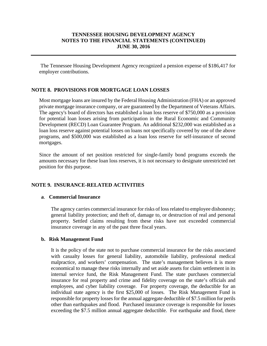The Tennessee Housing Development Agency recognized a pension expense of \$186,417 for employer contributions.

#### **NOTE 8. PROVISIONS FOR MORTGAGE LOAN LOSSES**

Most mortgage loans are insured by the Federal Housing Administration (FHA) or an approved private mortgage insurance company, or are guaranteed by the Department of Veterans Affairs. The agency's board of directors has established a loan loss reserve of \$750,000 as a provision for potential loan losses arising from participation in the Rural Economic and Community Development (RECD) Loan Guarantee Program. An additional \$232,000 was established as a loan loss reserve against potential losses on loans not specifically covered by one of the above programs, and \$500,000 was established as a loan loss reserve for self-insurance of second mortgages.

Since the amount of net position restricted for single-family bond programs exceeds the amounts necessary for these loan loss reserves, it is not necessary to designate unrestricted net position for this purpose.

#### **NOTE 9. INSURANCE-RELATED ACTIVITIES**

#### **a**. **Commercial Insurance**

 The agency carries commercial insurance for risks of loss related to employee dishonesty; general liability protection; and theft of, damage to, or destruction of real and personal property. Settled claims resulting from these risks have not exceeded commercial insurance coverage in any of the past three fiscal years.

#### **b. Risk Management Fund**

It is the policy of the state not to purchase commercial insurance for the risks associated with casualty losses for general liability, automobile liability, professional medical malpractice, and workers' compensation. The state's management believes it is more economical to manage these risks internally and set aside assets for claim settlement in its internal service fund, the Risk Management Fund. The state purchases commercial insurance for real property and crime and fidelity coverage on the state's officials and employees, and cyber liability coverage. For property coverage, the deductible for an individual state agency is the first \$25,000 of losses. The Risk Management Fund is responsible for property losses for the annual aggregate deductible of \$7.5 million for perils other than earthquakes and flood. Purchased insurance coverage is responsible for losses exceeding the \$7.5 million annual aggregate deductible. For earthquake and flood, there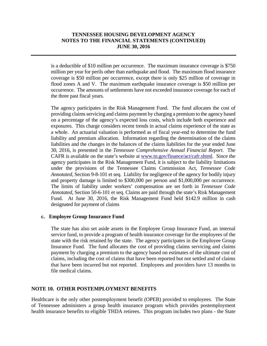is a deductible of \$10 million per occurrence. The maximum insurance coverage is \$750 million per year for perils other than earthquake and flood. The maximum flood insurance coverage is \$50 million per occurrence, except there is only \$25 million of coverage in flood zones A and V. The maximum earthquake insurance coverage is \$50 million per occurrence. The amounts of settlements have not exceeded insurance coverage for each of the three past fiscal years.

The agency participates in the Risk Management Fund. The fund allocates the cost of providing claims servicing and claims payment by charging a premium to the agency based on a percentage of the agency's expected loss costs, which include both experience and exposures. This charge considers recent trends in actual claims experience of the state as a whole. An actuarial valuation is performed as of fiscal year-end to determine the fund liability and premium allocation. Information regarding the determination of the claims liabilities and the changes in the balances of the claims liabilities for the year ended June 30, 2016, is presented in the *Tennessee Comprehensive Annual Financial Report*. The CAFR is available on the state's website at www.tn.gov/finance/act/cafr.shtml. Since the agency participates in the Risk Management Fund, it is subject to the liability limitations under the provisions of the Tennessee Claims Commission Act, *Tennessee Code Annotated*, Section 9-8-101 et seq. Liability for negligence of the agency for bodily injury and property damage is limited to \$300,000 per person and \$1,000,000 per occurrence. The limits of liability under workers' compensation are set forth in *Tennessee Code Annotated,* Section 50-6-101 et seq. Claims are paid through the state's Risk Management Fund. At June 30, 2016, the Risk Management Fund held \$142.9 million in cash designated for payment of claims

#### **c. Employee Group Insurance Fund**

 The state has also set aside assets in the Employee Group Insurance Fund, an internal service fund, to provide a program of health insurance coverage for the employees of the state with the risk retained by the state. The agency participates in the Employee Group Insurance Fund. The fund allocates the cost of providing claims servicing and claims payment by charging a premium to the agency based on estimates of the ultimate cost of claims, including the cost of claims that have been reported but not settled and of claims that have been incurred but not reported. Employees and providers have 13 months to file medical claims.

#### **NOTE 10. OTHER POSTEMPLOYMENT BENEFITS**

Healthcare is the only other postemployment benefit (OPEB) provided to employees. The State of Tennessee administers a group health insurance program which provides postemployment health insurance benefits to eligible THDA retirees. This program includes two plans - the State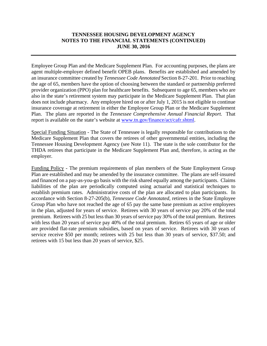Employee Group Plan and the Medicare Supplement Plan. For accounting purposes, the plans are agent multiple-employer defined benefit OPEB plans. Benefits are established and amended by an insurance committee created by *Tennessee Code Annotated* Section 8-27-201. Prior to reaching the age of 65, members have the option of choosing between the standard or partnership preferred provider organization (PPO) plan for healthcare benefits. Subsequent to age 65, members who are also in the state's retirement system may participate in the Medicare Supplement Plan. That plan does not include pharmacy. Any employee hired on or after July 1, 2015 is not eligible to continue insurance coverage at retirement in either the Employee Group Plan or the Medicare Supplement Plan. The plans are reported in the *Tennessee Comprehensive Annual Financial Report.* That report is available on the state's website at www.tn.gov/finance/act/cafr.shtml.

Special Funding Situation - The State of Tennessee is legally responsible for contributions to the Medicare Supplement Plan that covers the retirees of other governmental entities, including the Tennessee Housing Development Agency (see Note 11). The state is the sole contributor for the THDA retirees that participate in the Medicare Supplement Plan and, therefore, is acting as the employer.

Funding Policy - The premium requirements of plan members of the State Employment Group Plan are established and may be amended by the insurance committee. The plans are self-insured and financed on a pay-as-you-go basis with the risk shared equally among the participants. Claims liabilities of the plan are periodically computed using actuarial and statistical techniques to establish premium rates. Administrative costs of the plan are allocated to plan participants. In accordance with Section 8-27-205(b), *Tennessee Code Annotated,* retirees in the State Employee Group Plan who have not reached the age of 65 pay the same base premium as active employees in the plan, adjusted for years of service. Retirees with 30 years of service pay 20% of the total premium. Retirees with 25 but less than 30 years of service pay 30% of the total premium. Retirees with less than 20 years of service pay 40% of the total premium. Retires 65 years of age or older are provided flat-rate premium subsidies, based on years of service. Retirees with 30 years of service receive \$50 per month; retirees with 25 but less than 30 years of service, \$37.50; and retirees with 15 but less than 20 years of service, \$25.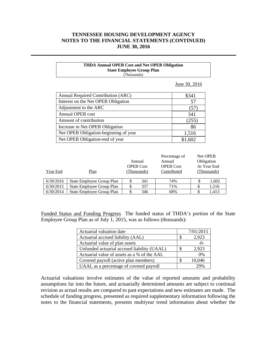#### **THDA Annual OPEB Cost and Net OPEB Obligation State Employee Group Plan** (Thousands)

June 30, 2016

| Annual Required Contribution (ARC)    | \$341   |
|---------------------------------------|---------|
| Interest on the Net OPEB Obligation   | 57      |
| Adjustment to the ARC                 | (57)    |
| Annual OPEB cost                      | 341     |
| Amount of contribution                | (255)   |
| Increase in Net OPEB Obligation       | 86      |
| Net OPEB Obligation-beginning of year | 1,516   |
| Net OPEB Obligation-end of year       | \$1.602 |

|           |                           |   | Annual<br><b>OPEB</b> Cost | Percentage of<br>Annual<br><b>OPEB</b> Cost | Net OPEB<br>Obligation<br>At Year End |
|-----------|---------------------------|---|----------------------------|---------------------------------------------|---------------------------------------|
| Year End  | Plan                      |   | (Thousands)                | Contributed                                 | (Thousands)                           |
| 6/30/2016 | State Employee Group Plan |   | 341                        | 74%                                         | 1,602                                 |
| 6/30/2015 | State Employee Group Plan | S | 357                        | 71%                                         | 1,516                                 |
| 6/30/2014 | State Employee Group Plan |   | 346                        | 68%                                         | 1.413                                 |

Funded Status and Funding Progress The funded status of THDA's portion of the State Employee Group Plan as of July 1, 2015, was as follows (thousands):

| Actuarial valuation date                    | 7/01/2015 |
|---------------------------------------------|-----------|
| Actuarial accrued liability (AAL)           | 2,923     |
| Actuarial value of plan assets              | $-()$     |
| Unfunded actuarial accrued liability (UAAL) | 2,923     |
| Actuarial value of assets as a % of the AAL | $0\%$     |
| Covered payroll (active plan members)       | 10,046    |
| UAAL as a percentage of covered payroll     | 29%       |

Actuarial valuations involve estimates of the value of reported amounts and probability assumptions far into the future, and actuarially determined amounts are subject to continual revision as actual results are compared to past expectations and new estimates are made. The schedule of funding progress, presented as required supplementary information following the notes to the financial statements, presents multiyear trend information about whether the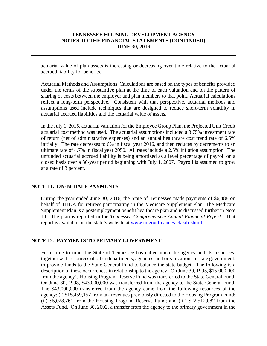actuarial value of plan assets is increasing or decreasing over time relative to the actuarial accrued liability for benefits.

Actuarial Methods and Assumptions Calculations are based on the types of benefits provided under the terms of the substantive plan at the time of each valuation and on the pattern of sharing of costs between the employer and plan members to that point. Actuarial calculations reflect a long-term perspective. Consistent with that perspective, actuarial methods and assumptions used include techniques that are designed to reduce short-term volatility in actuarial accrued liabilities and the actuarial value of assets.

In the July 1, 2015, actuarial valuation for the Employee Group Plan, the Projected Unit Credit actuarial cost method was used. The actuarial assumptions included a 3.75% investment rate of return (net of administrative expenses) and an annual healthcare cost trend rate of 6.5% initially. The rate decreases to 6% in fiscal year 2016, and then reduces by decrements to an ultimate rate of 4.7% in fiscal year 2050. All rates include a 2.5% inflation assumption. The unfunded actuarial accrued liability is being amortized as a level percentage of payroll on a closed basis over a 30-year period beginning with July 1, 2007. Payroll is assumed to grow at a rate of 3 percent.

#### **NOTE 11. ON-BEHALF PAYMENTS**

During the year ended June 30, 2016, the State of Tennessee made payments of \$6,488 on behalf of THDA for retirees participating in the Medicare Supplement Plan, The Medicare Supplement Plan is a postemployment benefit healthcare plan and is discussed further in Note 10. The plan is reported in the *Tennessee Comprehensive Annual Financial Report.* That report is available on the state's website at www.tn.gov/finance/act/cafr.shtml.

#### **NOTE 12. PAYMENTS TO PRIMARY GOVERNMENT**

From time to time, the State of Tennessee has called upon the agency and its resources, together with resources of other departments, agencies, and organizations in state government, to provide funds to the State General Fund to balance the state budget. The following is a description of these occurrences in relationship to the agency. On June 30, 1995, \$15,000,000 from the agency's Housing Program Reserve Fund was transferred to the State General Fund. On June 30, 1998, \$43,000,000 was transferred from the agency to the State General Fund. The \$43,000,000 transferred from the agency came from the following resources of the agency: (i) \$15,459,157 from tax revenues previously directed to the Housing Program Fund; (ii) \$5,028,761 from the Housing Program Reserve Fund; and (iii) \$22,512,082 from the Assets Fund. On June 30, 2002, a transfer from the agency to the primary government in the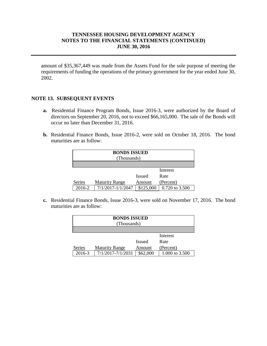amount of \$35,367,449 was made from the Assets Fund for the sole purpose of meeting the requirements of funding the operations of the primary government for the year ended June 30, 2002.

#### **NOTE 13. SUBSEQUENT EVENTS**

- **a.** Residential Finance Program Bonds, Issue 2016-3, were authorized by the Board of directors on September 20, 2016, not to exceed \$66,165,000. The sale of the Bonds will occur no later than December 31, 2016.
- **b.** Residential Finance Bonds, Issue 2016-2, were sold on October 18, 2016. The bond maturities are as follow:

| <b>BONDS ISSUED</b><br>(Thousands) |                       |               |                |  |  |  |
|------------------------------------|-----------------------|---------------|----------------|--|--|--|
|                                    |                       |               |                |  |  |  |
|                                    |                       |               | Interest       |  |  |  |
|                                    |                       | <b>Issued</b> | Rate           |  |  |  |
| Series                             | <b>Maturity Range</b> | Amount        | (Percent)      |  |  |  |
| 2016-2                             | 7/1/2017-1/1/2047     | \$125,000     | 0.720 to 3.500 |  |  |  |

**c.** Residential Finance Bonds, Issue 2016-3, were sold on November 17, 2016. The bond maturities are as follow:

| <b>BONDS ISSUED</b><br>(Thousands) |                       |          |                |  |  |  |
|------------------------------------|-----------------------|----------|----------------|--|--|--|
|                                    |                       |          |                |  |  |  |
|                                    |                       |          | Interest       |  |  |  |
|                                    |                       | Issued   | Rate           |  |  |  |
| Series                             | <b>Maturity Range</b> | Amount   | (Percent)      |  |  |  |
| 2016-3                             | 7/1/2017-7/1/2031     | \$62,000 | 1.000 to 3.500 |  |  |  |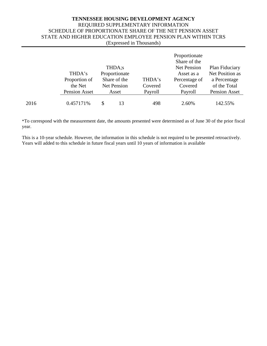#### **TENNESSEE HOUSING DEVELOPMENT AGENCY**  REQUIRED SUPPLEMENTARY INFORMATION SCHEDULE OF PROPORTIONATE SHARE OF THE NET PENSION ASSET STATE AND HIGHER EDUCATION EMPLOYEE PENSION PLAN WITHIN TCRS (Expressed in Thousands)

|      | THDA's<br>Proportion of<br>the Net<br>Pension Asset |   | THDA;s<br>Proportionate<br>Share of the<br><b>Net Pension</b><br>Asset | THDA's<br>Covered<br>Payroll | Proportionate<br>Share of the<br><b>Net Pension</b><br>Asset as a<br>Percentage of<br>Covered<br>Payroll | Plan Fiduciary<br>Net Position as<br>a Percentage<br>of the Total<br>Pension Asset |
|------|-----------------------------------------------------|---|------------------------------------------------------------------------|------------------------------|----------------------------------------------------------------------------------------------------------|------------------------------------------------------------------------------------|
| 2016 | 0.457171%                                           | S |                                                                        | 498                          | 2.60%                                                                                                    | 142.55%                                                                            |

\*To correspond with the measurement date, the amounts presented were determined as of June 30 of the prior fiscal year.

This is a 10-year schedule. However, the information in this schedule is not required to be presented retroactively. Years will added to this schedule in future fiscal years until 10 years of information is available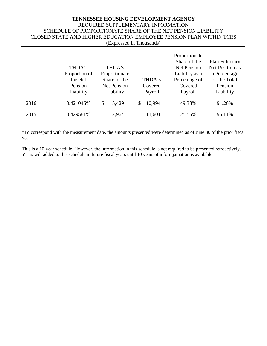#### **TENNESSEE HOUSING DEVELOPMENT AGENCY**  REQUIRED SUPPLEMENTARY INFORMATION SCHEDULE OF PROPORTIONATE SHARE OF THE NET PENSION LIABILITY CLOSED STATE AND HIGHER EDUCATION EMPLOYEE PENSION PLAN WITHIN TCRS (Expressed in Thousands)

|      | THDA's<br>Proportion of<br>the Net<br>Pension<br>Liability | THDA's<br>Proportionate<br>Share of the<br><b>Net Pension</b><br>Liability | THDA's<br>Covered<br>Payroll | Proportionate<br>Share of the<br><b>Net Pension</b><br>Liability as a<br>Percentage of<br>Covered<br>Payroll | Plan Fiduciary<br>Net Position as<br>a Percentage<br>of the Total<br>Pension<br>Liability |
|------|------------------------------------------------------------|----------------------------------------------------------------------------|------------------------------|--------------------------------------------------------------------------------------------------------------|-------------------------------------------------------------------------------------------|
| 2016 | 0.421046%                                                  | \$<br>5,429                                                                | 10,994<br>\$                 | 49.38%                                                                                                       | 91.26%                                                                                    |
| 2015 | 0.429581%                                                  | 2,964                                                                      | 11,601                       | 25.55%                                                                                                       | 95.11%                                                                                    |

\*To correspond with the measurement date, the amounts presented were determined as of June 30 of the prior fiscal year.

This is a 10-year schedule. However, the information in this schedule is not required to be presented retroactively. Years will added to this schedule in future fiscal years until 10 years of informjamation is available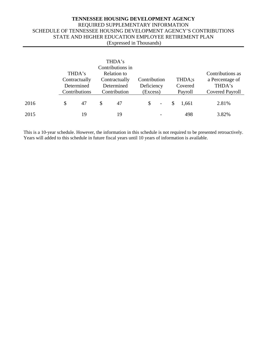#### **TENNESSEE HOUSING DEVELOPMENT AGENCY**  REQUIRED SUPPLEMENTARY INFORMATION SCHEDULE OF TENNESSEE HOUSING DEVELOPMENT AGENCY'S CONTRIBUTIONS STATE AND HIGHER EDUCATION EMPLOYEE RETIREMENT PLAN (Expressed in Thousands)

|      | THDA's<br>Contractually<br>Determined<br>Contributions | THDA's<br>Contributions in<br><b>Relation to</b><br>Contractually<br>Determined<br>Contribution | Contribution<br>Deficiency<br>(Excess) |                          |     | THDA;s<br>Covered<br>Payroll | Contributions as<br>a Percentage of<br>THDA's<br>Covered Payroll |  |
|------|--------------------------------------------------------|-------------------------------------------------------------------------------------------------|----------------------------------------|--------------------------|-----|------------------------------|------------------------------------------------------------------|--|
| 2016 | \$<br>47                                               | \$<br>47                                                                                        |                                        | $\overline{\phantom{a}}$ | \$. | 1,661                        | 2.81%                                                            |  |
| 2015 | 19                                                     | 19                                                                                              |                                        |                          |     | 498                          | 3.82%                                                            |  |

This is a 10-year schedule. However, the information in this schedule is not required to be presented retroactively. Years will added to this schedule in future fiscal years until 10 years of information is available.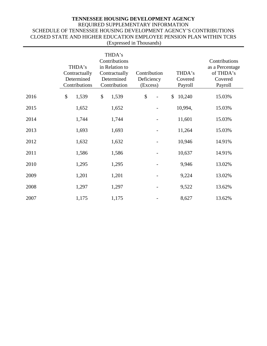#### **TENNESSEE HOUSING DEVELOPMENT AGENCY**

# REQUIRED SUPPLEMENTARY INFORMATION

SCHEDULE OF TENNESSEE HOUSING DEVELOPMENT AGENCY'S CONTRIBUTIONS CLOSED STATE AND HIGHER EDUCATION EMPLOYEE PENSION PLAN WITHIN TCRS

| (Expressed in Thousands) |  |
|--------------------------|--|
|--------------------------|--|

|      | THDA's<br>Contributions<br>THDA's<br>in Relation to<br>Contractually<br>Contractually<br>Determined<br>Determined<br>Contributions<br>Contribution |       |    |       | Contribution<br>Deficiency<br>(Excess) | THDA's<br>Covered<br>Payroll | Contributions<br>as a Percentage<br>of THDA's<br>Covered<br>Payroll |
|------|----------------------------------------------------------------------------------------------------------------------------------------------------|-------|----|-------|----------------------------------------|------------------------------|---------------------------------------------------------------------|
| 2016 | \$                                                                                                                                                 | 1,539 | \$ | 1,539 | \$                                     | 10,240<br>\$                 | 15.03%                                                              |
| 2015 |                                                                                                                                                    | 1,652 |    | 1,652 |                                        | 10,994,                      | 15.03%                                                              |
| 2014 |                                                                                                                                                    | 1,744 |    | 1,744 |                                        | 11,601                       | 15.03%                                                              |
| 2013 |                                                                                                                                                    | 1,693 |    | 1,693 |                                        | 11,264                       | 15.03%                                                              |
| 2012 |                                                                                                                                                    | 1,632 |    | 1,632 |                                        | 10,946                       | 14.91%                                                              |
| 2011 |                                                                                                                                                    | 1,586 |    | 1,586 |                                        | 10,637                       | 14.91%                                                              |
| 2010 |                                                                                                                                                    | 1,295 |    | 1,295 |                                        | 9,946                        | 13.02%                                                              |
| 2009 |                                                                                                                                                    | 1,201 |    | 1,201 |                                        | 9,224                        | 13.02%                                                              |
| 2008 |                                                                                                                                                    | 1,297 |    | 1,297 |                                        | 9,522                        | 13.62%                                                              |
| 2007 |                                                                                                                                                    | 1,175 |    | 1,175 |                                        | 8,627                        | 13.62%                                                              |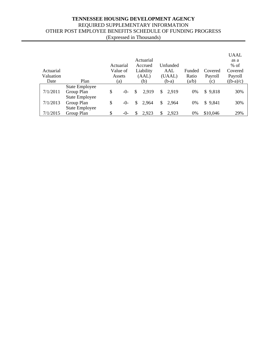#### **TENNESSEE HOUSING DEVELOPMENT AGENCY**  REQUIRED SUPPLEMENTARY INFORMATION OTHER POST EMPLOYEE BENEFITS SCHEDULE OF FUNDING PROGRESS (Expressed in Thousands)

| Actuarial<br>Valuation |                                                              | Actuarial<br>Value of<br>Assets |               | Actuarial<br>Accrued<br>Liability<br>(AAL) |     | Unfunded<br>AAL<br>(UAAL) | Funded<br>Ratio | Covered<br>Payroll | UAAL<br>as a<br>$%$ of<br>Covered<br>Payroll |
|------------------------|--------------------------------------------------------------|---------------------------------|---------------|--------------------------------------------|-----|---------------------------|-----------------|--------------------|----------------------------------------------|
| Date                   | Plan                                                         | (a)                             |               | (b)                                        |     | $(b-a)$                   | (a/b)           | (c)                | $((b-a)/c)$                                  |
| 7/1/2011               | <b>State Employee</b><br>Group Plan<br><b>State Employee</b> | \$<br>$-()$ -                   | <sup>\$</sup> | 2,919                                      | \$. | 2,919                     | 0%              | \$9,818            | 30%                                          |
| 7/1/2013               | Group Plan<br><b>State Employee</b>                          | \$<br>$-()$ -                   | <sup>\$</sup> | 2,964                                      | \$  | 2,964                     | 0%              | \$9,841            | 30%                                          |
| 7/1/2015               | Group Plan                                                   | \$<br>$-0-$                     | \$.           | 2,923                                      | S   | 2,923                     | 0%              | \$10,046           | 29%                                          |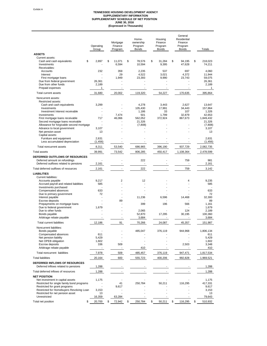#### **TENNESSEE HOUSING DEVELOPMENT AGENCY SUPPLEMENTARY INFORMATION (Expressed in Thousands) SUPPLEMENTARY SCHEDULE OF NET POSITION JUNE 30, 2016**

|                                                                                | Operating<br>Group       | Mortgage<br>Finance<br>Program | Home-<br>ownership<br>Program<br><b>Bonds</b> | Housing<br>Finance<br>Program<br><b>Bonds</b> | General<br>Residential<br>Finance<br>Program<br><b>Bonds</b> | Totals                  |
|--------------------------------------------------------------------------------|--------------------------|--------------------------------|-----------------------------------------------|-----------------------------------------------|--------------------------------------------------------------|-------------------------|
| <b>ASSETS</b>                                                                  |                          |                                |                                               |                                               |                                                              |                         |
| Current assets:                                                                |                          |                                |                                               |                                               |                                                              |                         |
| \$<br>Cash and cash equivalents<br>Investments                                 | 2,897                    | \$<br>11,071<br>6,594          | \$<br>78,576<br>10,594                        | \$<br>31,284<br>9,395                         | \$<br>94,195<br>47,628                                       | \$<br>218,023<br>74,211 |
| Receivables:                                                                   |                          |                                |                                               |                                               |                                                              |                         |
| Accounts                                                                       | 232                      | 359                            | 2,235                                         | 537                                           | 697                                                          | 4,060                   |
| Interest                                                                       | $\overline{a}$           | 29                             | 4,522                                         | 3,021                                         | 4,372                                                        | 11,944                  |
| First mortgage loans                                                           |                          | 1.949                          | 23,393                                        | 9,990                                         | 23,743                                                       | 59,075                  |
| Due from federal government                                                    | 26,361                   |                                |                                               |                                               | ٠                                                            | 26,361                  |
| Due from other funds                                                           | 2,189                    | $\overline{a}$                 |                                               | $\overline{a}$                                | ÷.                                                           | 2,189                   |
| Prepaid expenses                                                               | 1                        | $\overline{\phantom{a}}$       |                                               |                                               |                                                              | 1                       |
| Total current assets                                                           | 31,680                   | 20,002                         | 119,320                                       | 54,227                                        | 170,635                                                      | 395,864                 |
| Noncurrent assets:                                                             |                          |                                |                                               |                                               |                                                              |                         |
| Restricted assets:                                                             |                          |                                |                                               |                                               |                                                              |                         |
| Cash and cash equivalents                                                      | 3,299                    |                                | 4,278                                         | 3,443                                         | 2,627                                                        | 13,647                  |
| Investments                                                                    |                          |                                | 105,430                                       | 17,991<br>33                                  | 34,443<br>107                                                | 157,864<br>1,326        |
| Investment Interest receivable<br>Investments                                  |                          | 7,474                          | 1,186<br>501                                  | 1,799                                         | 32,879                                                       | 42,653                  |
| First mortgage loans receivable                                                | 717                      | 46,066                         | 562,052                                       | 372,924                                       | 867,673                                                      | 1,849,432               |
| Second mortgage loans receivable                                               |                          |                                | 21,326                                        |                                               |                                                              | 21,326                  |
| Allowance for forgivable second mortgage                                       | $\overline{a}$           | $\overline{a}$                 | (7,808)                                       |                                               |                                                              | (7,808)                 |
| Advance to local government                                                    | 3,107                    |                                |                                               |                                               |                                                              | 3,107                   |
| Net pension asset                                                              | 13                       |                                |                                               |                                               |                                                              | 13                      |
| Capital assets:                                                                |                          |                                |                                               |                                               |                                                              |                         |
| Furniture and equipment                                                        | 2,631                    |                                |                                               |                                               |                                                              | 2,631                   |
| Less accumulated depreciation                                                  | (1,456)                  | $\frac{1}{2}$                  |                                               |                                               |                                                              | (1, 456)                |
| Total noncurrent assets                                                        | 8,311                    | 53,540                         | 686,965                                       | 396,190                                       | 937,729                                                      | 2,082,735               |
| <b>Total assets</b>                                                            | 39,991                   | 73,542                         | 806,285                                       | 450,417                                       | 1,108,364                                                    | 2,478,599               |
|                                                                                |                          |                                |                                               |                                               |                                                              |                         |
| <b>DEFERRED OUTFLOWS OF RESOURCES</b>                                          |                          |                                |                                               |                                               |                                                              |                         |
| Deferred amount on refundings                                                  |                          |                                | 222                                           | $\overline{a}$                                | 759                                                          | 981                     |
| Deferred outflows related to pensions                                          | 2,161                    | $\blacksquare$                 | $\overline{\phantom{a}}$                      | $\blacksquare$                                | ٠                                                            | 2,161                   |
| Total deferred outflows of resources                                           | 2,161                    | $\overline{\phantom{a}}$       | 222                                           | $\blacksquare$                                | 759                                                          | 3,142                   |
| <b>LIABILITIES</b>                                                             |                          |                                |                                               |                                               |                                                              |                         |
| Current liabilities:                                                           |                          |                                |                                               |                                               |                                                              |                         |
| Accounts payable                                                               | 9,217                    | 2                              | 12                                            |                                               | 4                                                            | 9,235                   |
| Accrued payroll and related liabilities                                        | 585                      |                                |                                               |                                               |                                                              | 585                     |
| Investments purchased                                                          | $\overline{a}$           |                                |                                               |                                               |                                                              |                         |
| Compensated absences                                                           | 633                      |                                |                                               |                                               |                                                              | 633                     |
| Due to primary government                                                      | 72                       |                                |                                               |                                               |                                                              | 72                      |
| Interest payable                                                               |                          |                                | 11,236                                        | 6,596                                         | 14,468                                                       | 32,300                  |
| <b>Escrow deposits</b>                                                         |                          | 89                             |                                               |                                               |                                                              | 89                      |
| Prepayments on mortgage loans                                                  |                          |                                | 399                                           | 196                                           | 566                                                          | 1,161                   |
| Due to federal government                                                      | 1,679                    |                                |                                               |                                               |                                                              | 1,679                   |
| Due to other funds                                                             |                          |                                | 2,065                                         |                                               | 124                                                          | 2,189                   |
| Bonds pavable                                                                  |                          | $\overline{a}$                 | 52,870                                        | 17,295                                        | 30,195                                                       | 100,360                 |
| Arbitrage rebate payable                                                       | $\blacksquare$           | $\blacksquare$                 | 3,684                                         | $\blacksquare$                                | $\blacksquare$                                               | 3,684                   |
| <b>Total current liabilities</b>                                               | 12,186                   | 91                             | 70,266                                        | 24,087                                        | 45,357                                                       | 151,987                 |
| Noncurrent liabilities:                                                        |                          |                                |                                               |                                               |                                                              |                         |
| Bonds payable                                                                  |                          |                                | 485,047                                       | 376,119                                       | 944,968                                                      | 1,806,134               |
| Compensated absences                                                           | 611                      |                                |                                               |                                               |                                                              | 611                     |
| Net pension liability                                                          | 5,429                    |                                |                                               |                                               |                                                              | 5,429                   |
| Net OPEB obligation                                                            | 1,602                    |                                |                                               |                                               |                                                              | 1,602                   |
| Escrow deposits                                                                | 336                      | 509                            |                                               |                                               | 2,503                                                        | 3,348                   |
| Arbitrage rebate payable                                                       | $\overline{\phantom{a}}$ |                                | 410                                           |                                               |                                                              | 410                     |
| Total noncurrent liabilities                                                   | 7,978                    | 509                            | 485,457                                       | 376,119                                       | 947,471                                                      | 1,817,534               |
| <b>Total liabilities</b>                                                       | 20,164                   | 600                            | 555,723                                       | 400,206                                       | 992,828                                                      | 1,969,521               |
| <b>DEFERRED INFLOWS OF RESOURCES</b>                                           |                          |                                |                                               |                                               |                                                              |                         |
| Deferred inflows related to pensions                                           | 1,288                    |                                |                                               |                                               |                                                              | 1,288                   |
| Total deferred inflows of resources                                            | 1,288                    |                                |                                               |                                               |                                                              | 1,288                   |
| <b>NET POSITION</b>                                                            |                          |                                |                                               |                                               |                                                              |                         |
|                                                                                |                          |                                |                                               |                                               |                                                              |                         |
| Net investment in capital assets<br>Restricted for single family bond programs | 1,175                    | 41                             | 250,784                                       | 50,211                                        | 116,295                                                      | 1,175<br>417,331        |
| Restricted for grant programs                                                  |                          | 9,617                          |                                               |                                               |                                                              | 9,617                   |
| Restricted for Homebuyers Revolving Loan                                       | 3,153                    |                                |                                               |                                               |                                                              | 3,153                   |
| Restricted for net pension asset                                               | 13                       |                                |                                               |                                               |                                                              | 13                      |
| Unrestricted                                                                   | 16,359                   | 63,284                         |                                               |                                               |                                                              | 79,643                  |
| Total net position<br>\$                                                       | 20,700                   | \$<br>72,942                   | \$<br>250,784                                 | \$<br>50,211                                  | \$<br>116,295                                                | \$<br>510,932           |
|                                                                                |                          |                                |                                               |                                               |                                                              |                         |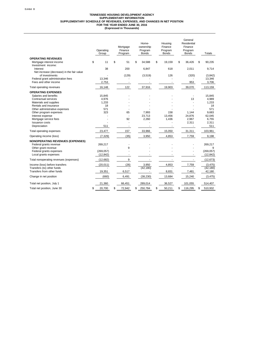# TENNESSEE HOUSING DEVELOPMENT AGENCY<br>SUPPLEMENTARY SCHEDULE OF REVENUES, EXPENSES, AND CHANGES IN NET POSITION<br>FOR THE YEAR ENDED JUNE 30, 2016<br>FOR THE YEAR ENDED JUNE 30, 2016<br>Expressed in Thousands)

|                                           | Operating<br>Group | Mortgage<br>Finance<br>Program | Home-<br>ownership<br>Program<br>Bonds | Housing<br>Finance<br>Program<br><b>Bonds</b> | General<br>Residential<br>Finance<br>Program<br><b>Bonds</b> | Totals        |
|-------------------------------------------|--------------------|--------------------------------|----------------------------------------|-----------------------------------------------|--------------------------------------------------------------|---------------|
| <b>OPERATING REVENUES</b>                 |                    |                                |                                        |                                               |                                                              |               |
| Mortgage interest income                  | \$<br>11           | \$<br>51                       | \$<br>34,588                           | \$<br>19,159                                  | \$<br>36,426                                                 | \$<br>90,235  |
| Investment income:                        |                    |                                |                                        |                                               |                                                              |               |
| Interest                                  | 38                 | 200                            | 6,847                                  | 618                                           | 2,011                                                        | 9,714         |
| Net increase (decrease) in the fair value |                    |                                |                                        |                                               |                                                              |               |
| of investments                            |                    | (129)                          | (3,519)                                | 126                                           | (320)                                                        | (3, 842)      |
| Federal grant administration fees         | 13,346             |                                |                                        |                                               |                                                              | 13,346        |
| Fees and other income                     | 2,753              |                                |                                        |                                               | 953                                                          | 3,706         |
| Total operating revenues                  | 16,148             | 122                            | 37,916                                 | 19,903                                        | 39,070                                                       | 113,159       |
| <b>OPERATING EXPENSES</b>                 |                    |                                |                                        |                                               |                                                              |               |
| Salaries and benefits                     | 15,845             |                                |                                        |                                               |                                                              | 15,845        |
| Contractual services                      | 4,976              |                                |                                        |                                               | 13                                                           | 4,989         |
| Materials and supplies                    | 1,233              |                                |                                        |                                               |                                                              | 1,233         |
| Rentals and insurance                     | 18                 |                                |                                        |                                               |                                                              | 18            |
| Other administrative expenses             | 571                |                                |                                        |                                               |                                                              | 571           |
| Other program expenses                    | 323                | 65                             | 7,993                                  | 158                                           | 1,144                                                        | 9,683         |
| Interest expense                          |                    | ÷,                             | 23,713                                 | 13,456                                        | 24,876                                                       | 62,045        |
| Mortgage service fees                     |                    | 92                             | 2,260                                  | 1,436                                         | 2,967                                                        | 6,755         |
| <b>Issuance costs</b>                     |                    |                                |                                        |                                               | 2,311                                                        | 2,311         |
| Depreciation                              | 511                | $\overline{\phantom{a}}$       | $\overline{\phantom{a}}$               |                                               |                                                              | 511           |
| Total operating expenses                  | 23,477             | 157                            | 33,966                                 | 15,050                                        | 31,311                                                       | 103,961       |
| Operating income (loss)                   | (7, 329)           | (35)                           | 3,950                                  | 4,853                                         | 7,759                                                        | 9,198         |
| <b>NONOPERATING REVENUES (EXPENSES)</b>   |                    |                                |                                        |                                               |                                                              |               |
| Federal grants revenue                    | 269,217            | ٠                              |                                        |                                               |                                                              | 269,217       |
| Other grant revenue                       |                    | 9                              |                                        |                                               |                                                              | 9             |
| Federal grants expenses                   | (269, 057)         |                                |                                        |                                               |                                                              | (269, 057)    |
| Local grants expenses                     | (12, 842)          |                                |                                        |                                               |                                                              | (12, 842)     |
| Total nonoperating revenues (expenses)    | (12,682)           | 9                              |                                        |                                               |                                                              | (12, 673)     |
| Income (loss) before transfers            | (20, 011)          | (26)                           | 3,950                                  | 4,853                                         | 7,759                                                        | (3, 475)      |
| Transfers (to) other funds                |                    |                                | (42, 180)                              |                                               |                                                              | (42, 180)     |
| Transfers from other funds                | 19,351             | 6,517                          |                                        | 8,831                                         | 7,481                                                        | 42,180        |
|                                           |                    |                                |                                        |                                               |                                                              |               |
| Change in net position                    | (660)              | 6,491                          | (38, 230)                              | 13,684                                        | 15,240                                                       | (3, 475)      |
| Total net position, July 1                | 21,360             | 66,451                         | 289,014                                | 36,527                                        | 101,055                                                      | 514,407       |
| Total net position, June 30               | \$<br>20,700       | \$<br>72,942                   | \$<br>250,784                          | \$<br>50,211                                  | \$<br>116,295                                                | \$<br>510,932 |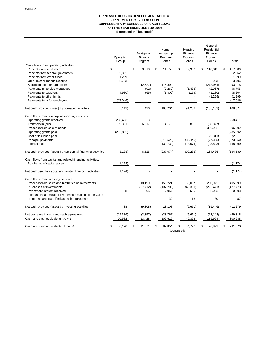#### **TENNESSEE HOUSING DEVELOPMENT AGENCY SUPPLEMENTARY INFORMATION SUPPLEMENTARY SCHEDULE OF CASH FLOWS FOR THE YEAR ENDED JUNE 30, 2016 (Expressed in Thousands)**

|                                                                  | Operating<br>Group | Mortgage<br>Finance<br>Program | Home-<br>ownership<br>Program<br><b>Bonds</b> |   | Housing<br>Finance<br>Program<br><b>Bonds</b> | General<br>Residential<br>Finance<br>Program<br><b>Bonds</b> | Totals               |
|------------------------------------------------------------------|--------------------|--------------------------------|-----------------------------------------------|---|-----------------------------------------------|--------------------------------------------------------------|----------------------|
| Cash flows from operating activities:<br>Receipts from customers | \$                 | \$<br>3,210                    | \$<br>211,158                                 | S | 92,903                                        | \$<br>110,315                                                | \$<br>417,586        |
| Receipts from federal government                                 | 12,862             |                                |                                               |   |                                               |                                                              | 12,862               |
| Receipts from other funds                                        | 1,299              |                                |                                               |   |                                               |                                                              | 1,299                |
| Other miscellaneous receipts                                     | 2,753              |                                |                                               |   |                                               | 953                                                          | 3.706                |
| Acquisition of mortgage loans                                    |                    | (2,627)                        | (16, 894)                                     |   |                                               | (273, 954)                                                   | (293, 475)           |
| Payments to service mortgages                                    |                    | (92)                           | (2,260)                                       |   | (1,436)                                       | (2,967)                                                      | (6, 755)             |
| Payments to suppliers                                            | (4,980)            | (65)                           | (1,800)                                       |   | (179)                                         | (1, 180)                                                     | (8, 204)             |
| Payments to other funds                                          |                    |                                |                                               |   | $\sim$                                        | (1, 299)                                                     |                      |
| Payments to or for employees                                     | (17,046)           | $\blacksquare$                 |                                               |   |                                               |                                                              | (1,299)<br>(17, 046) |
|                                                                  |                    |                                |                                               |   |                                               |                                                              |                      |
| Net cash provided (used) by operating activities                 | (5, 112)           | 426                            | 190,204                                       |   | 91,288                                        | (168, 132)                                                   | 108,674              |
| Cash flows from non-capital financing activities:                |                    |                                |                                               |   |                                               |                                                              |                      |
| Operating grants received                                        | 258,403            | 8                              |                                               |   |                                               |                                                              | 258,411              |
| Transfers in (out)                                               | 19,351             | 6,517                          | 4,178                                         |   | 8,831                                         | (38, 877)                                                    |                      |
| Proceeds from sale of bonds                                      |                    |                                |                                               |   |                                               | 306,902                                                      | 306,902              |
| Operating grants paid                                            | (285, 892)         |                                |                                               |   |                                               |                                                              | (285, 892)           |
| Cost of issuance paid                                            |                    |                                |                                               |   |                                               | (2, 311)                                                     | (2, 311)             |
| Principal payments                                               |                    |                                | (210, 520)                                    |   | (85, 445)                                     | (77, 385)                                                    | (373, 350)           |
| Interest paid                                                    |                    |                                | (30, 732)                                     |   | (13, 674)                                     | (23, 893)                                                    | (68, 299)            |
| Net cash provided (used) by non-capital financing activities     | (8, 138)           | 6,525                          | (237, 074)                                    |   | (90, 288)                                     | 164,436                                                      | (164, 539)           |
| Cash flows from capital and related financing activities:        |                    |                                |                                               |   |                                               |                                                              |                      |
| Purchases of capital assets                                      | (1, 174)           |                                |                                               |   |                                               |                                                              | (1, 174)             |
| Net cash used by capital and related financing activities        | (1, 174)           |                                |                                               |   |                                               |                                                              | (1, 174)             |
| Cash flows from investing activities:                            |                    |                                |                                               |   |                                               |                                                              |                      |
| Proceeds from sales and maturities of investments                |                    | 18,199                         | 153,221                                       |   | 33,007                                        | 200,972                                                      | 405,399              |
| Purchases of investments                                         |                    | (27, 712)                      | (137, 209)                                    |   | (40, 381)                                     | (222, 471)                                                   | (427, 773)           |
| Investment interest received                                     | 38                 | 205                            | 7,057                                         |   | 685                                           | 2,023                                                        | 10,008               |
| Increase in fair value of investments subject to fair value      |                    |                                |                                               |   |                                               |                                                              |                      |
| reporting and classified as cash equivalents                     |                    |                                | 39                                            |   | 18                                            | 30                                                           | 87                   |
| Net cash provided (used) by investing activities                 | 38                 | (9,308)                        | 23,108                                        |   | (6,671)                                       | (19, 446)                                                    | (12, 279)            |
| Net decrease in cash and cash equivalents                        | (14, 386)          | (2,357)                        | (23, 762)                                     |   | (5,671)                                       | (23, 142)                                                    | (69, 318)            |
| Cash and cash equivalents, July 1                                | 20,582             | 13,428                         | 106,616                                       |   | 40,398                                        | 119,964                                                      | 300,988              |
| Cash and cash equivalents, June 30                               | \$<br>6,196        | 11,071                         | 82,854<br>(continued)                         |   | 34,727                                        | 96,822                                                       | \$<br>231,670        |